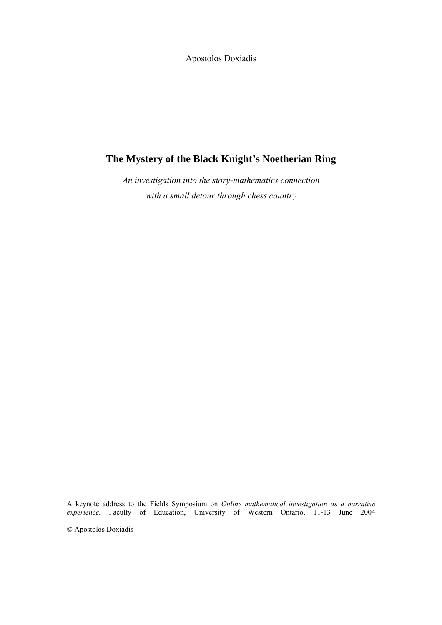Apostolos Doxiadis

## **The Mystery of the Black Knight's Noetherian Ring**

*An investigation into the story-mathematics connection with a small detour through chess country* 

A keynote address to the Fields Symposium on *Online mathematical investigation as a narrative experience,* Faculty of Education, University of Western Ontario, 11-13 June 2004

© Apostolos Doxiadis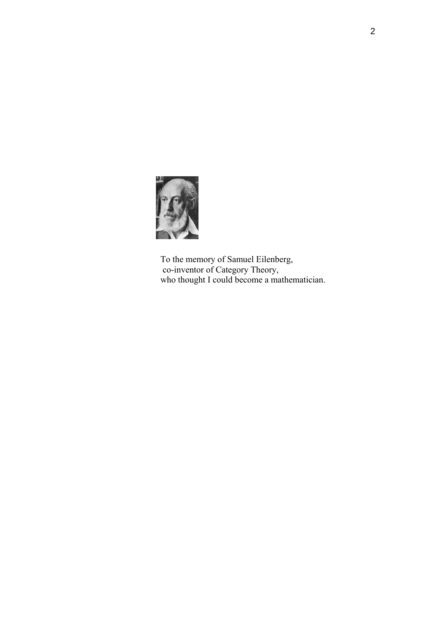

 To the memory of Samuel Eilenberg, co-inventor of Category Theory, who thought I could become a mathematician.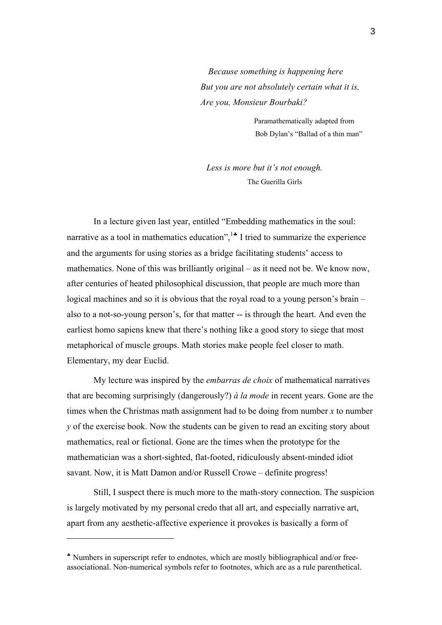*Because something is happening here But you are not absolutely certain what it is, Are you, Monsieur Bourbaki?* 

> Paramathematically adapted from Bob Dylan's "Ballad of a thin man"

 *Less is more but it's not enough.* The Guerilla Girls

In a lecture given last year, entitled "Embedding mathematics in the soul: narrative as a tool in mathematics education",<sup>[1](#page-62-0)</sup> $\cdot$  I tried to summarize the experience and the arguments for using stories as a bridge facilitating students' access to mathematics. None of this was brilliantly original – as it need not be. We know now, after centuries of heated philosophical discussion, that people are much more than logical machines and so it is obvious that the royal road to a young person's brain – also to a not-so-young person's, for that matter -- is through the heart. And even the earliest homo sapiens knew that there's nothing like a good story to siege that most metaphorical of muscle groups. Math stories make people feel closer to math. Elementary, my dear Euclid.

My lecture was inspired by the *embarras de choix* of mathematical narratives that are becoming surprisingly (dangerously?) *à la mode* in recent years. Gone are the times when the Christmas math assignment had to be doing from number *x* to number *y* of the exercise book. Now the students can be given to read an exciting story about mathematics, real or fictional. Gone are the times when the prototype for the mathematician was a short-sighted, flat-footed, ridiculously absent-minded idiot savant. Now, it is Matt Damon and/or Russell Crowe – definite progress!

Still, I suspect there is much more to the math-story connection. The suspicion is largely motivated by my personal credo that all art, and especially narrative art, apart from any aesthetic-affective experience it provokes is basically a form of

<span id="page-2-0"></span><sup>♣</sup> Numbers in superscript refer to endnotes, which are mostly bibliographical and/or freeassociational. Non-numerical symbols refer to footnotes, which are as a rule parenthetical.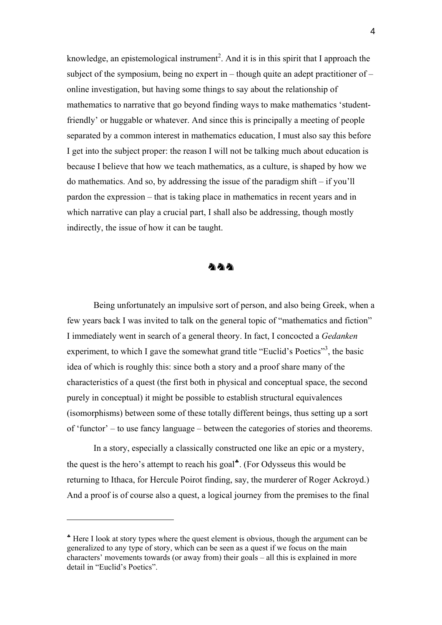knowledge, an epistemological instrument<sup>[2](#page-62-1)</sup>. And it is in this spirit that I approach the subject of the symposium, being no expert in – though quite an adept practitioner of – online investigation, but having some things to say about the relationship of mathematics to narrative that go beyond finding ways to make mathematics 'studentfriendly' or huggable or whatever. And since this is principally a meeting of people separated by a common interest in mathematics education, I must also say this before I get into the subject proper: the reason I will not be talking much about education is because I believe that how we teach mathematics, as a culture, is shaped by how we do mathematics. And so, by addressing the issue of the paradigm shift – if you'll pardon the expression – that is taking place in mathematics in recent years and in which narrative can play a crucial part, I shall also be addressing, though mostly indirectly, the issue of how it can be taught.



Being unfortunately an impulsive sort of person, and also being Greek, when a few years back I was invited to talk on the general topic of "mathematics and fiction" I immediately went in search of a general theory. In fact, I concocted a *Gedanken*  experiment, to which I gave the somewhat grand title "Euclid's Poetics"<sup>[3](#page-62-2)</sup>, the basic idea of which is roughly this: since both a story and a proof share many of the characteristics of a quest (the first both in physical and conceptual space, the second purely in conceptual) it might be possible to establish structural equivalences (isomorphisms) between some of these totally different beings, thus setting up a sort of 'functor' – to use fancy language – between the categories of stories and theorems.

In a story, especially a classically constructed one like an epic or a mystery, the quest is the hero's attempt to reach his goal<sup> $\bullet$ </sup>. (For Odysseus this would be returning to Ithaca, for Hercule Poirot finding, say, the murderer of Roger Ackroyd.) And a proof is of course also a quest, a logical journey from the premises to the final

<span id="page-3-0"></span><sup>♣</sup> Here I look at story types where the quest element is obvious, though the argument can be generalized to any type of story, which can be seen as a quest if we focus on the main characters' movements towards (or away from) their goals – all this is explained in more detail in "Euclid's Poetics".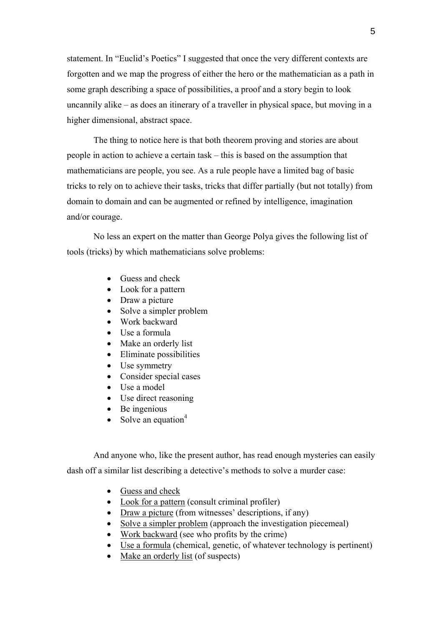statement. In "Euclid's Poetics" I suggested that once the very different contexts are forgotten and we map the progress of either the hero or the mathematician as a path in some graph describing a space of possibilities, a proof and a story begin to look uncannily alike – as does an itinerary of a traveller in physical space, but moving in a higher dimensional, abstract space.

The thing to notice here is that both theorem proving and stories are about people in action to achieve a certain task – this is based on the assumption that mathematicians are people, you see. As a rule people have a limited bag of basic tricks to rely on to achieve their tasks, tricks that differ partially (but not totally) from domain to domain and can be augmented or refined by intelligence, imagination and/or courage.

No less an expert on the matter than George Polya gives the following list of tools (tricks) by which mathematicians solve problems:

- Guess and check
- Look for a pattern
- Draw a picture
- Solve a simpler problem
- Work backward
- Use a formula
- Make an orderly list
- Eliminate possibilities
- Use symmetry
- Consider special cases
- Use a model
- Use direct reasoning
- Be ingenious
- Solve an equation $4$

And anyone who, like the present author, has read enough mysteries can easily dash off a similar list describing a detective's methods to solve a murder case:

- Guess and check
- Look for a pattern (consult criminal profiler)
- Draw a picture (from witnesses' descriptions, if any)
- Solve a simpler problem (approach the investigation piecemeal)
- Work backward (see who profits by the crime)
- Use a formula (chemical, genetic, of whatever technology is pertinent)
- Make an orderly list (of suspects)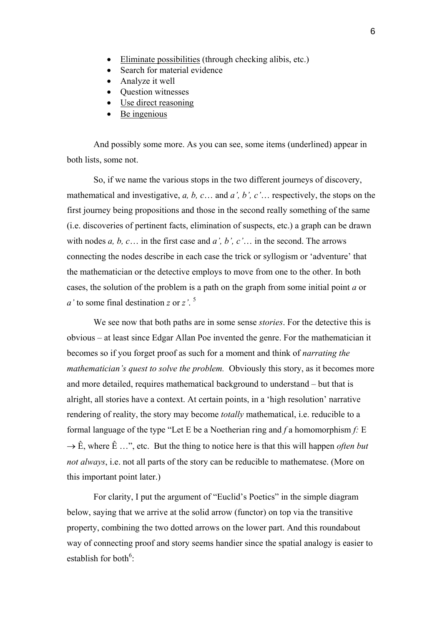- Eliminate possibilities (through checking alibis, etc.)
- Search for material evidence
- Analyze it well
- Question witnesses
- Use direct reasoning
- Be ingenious

And possibly some more. As you can see, some items (underlined) appear in both lists, some not.

So, if we name the various stops in the two different journeys of discovery, mathematical and investigative, *a, b, c*… and *a', b', c'*… respectively, the stops on the first journey being propositions and those in the second really something of the same (i.e. discoveries of pertinent facts, elimination of suspects, etc.) a graph can be drawn with nodes *a, b, c*… in the first case and *a', b', c'*… in the second. The arrows connecting the nodes describe in each case the trick or syllogism or 'adventure' that the mathematician or the detective employs to move from one to the other. In both cases, the solution of the problem is a path on the graph from some initial point *a* or *a'* to some final destination *z* or *z'*. [5](#page-62-4)

We see now that both paths are in some sense *stories*. For the detective this is obvious – at least since Edgar Allan Poe invented the genre. For the mathematician it becomes so if you forget proof as such for a moment and think of *narrating the mathematician's quest to solve the problem.* Obviously this story, as it becomes more and more detailed, requires mathematical background to understand – but that is alright, all stories have a context. At certain points, in a 'high resolution' narrative rendering of reality, the story may become *totally* mathematical, i.e. reducible to a formal language of the type "Let E be a Noetherian ring and *f* a homomorphism *f:* E  $\rightarrow \hat{E}$ , where  $\hat{E}$  ...", etc. But the thing to notice here is that this will happen *often but not always*, i.e. not all parts of the story can be reducible to mathematese. (More on this important point later.)

For clarity, I put the argument of "Euclid's Poetics" in the simple diagram below, saying that we arrive at the solid arrow (functor) on top via the transitive property, combining the two dotted arrows on the lower part. And this roundabout way of connecting proof and story seems handier since the spatial analogy is easier to establish for both<sup>6</sup>: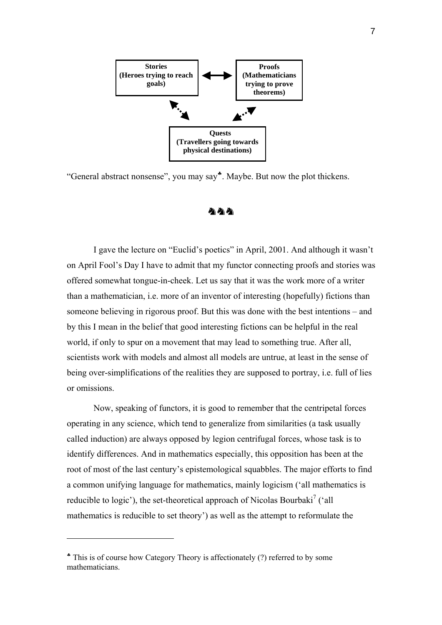

"General abstract nonsense", you may say♣[.](#page-6-0) Maybe. But now the plot thickens.



I gave the lecture on "Euclid's poetics" in April, 2001. And although it wasn't on April Fool's Day I have to admit that my functor connecting proofs and stories was offered somewhat tongue-in-cheek. Let us say that it was the work more of a writer than a mathematician, i.e. more of an inventor of interesting (hopefully) fictions than someone believing in rigorous proof. But this was done with the best intentions – and by this I mean in the belief that good interesting fictions can be helpful in the real world, if only to spur on a movement that may lead to something true. After all, scientists work with models and almost all models are untrue, at least in the sense of being over-simplifications of the realities they are supposed to portray, i.e. full of lies or omissions.

Now, speaking of functors, it is good to remember that the centripetal forces operating in any science, which tend to generalize from similarities (a task usually called induction) are always opposed by legion centrifugal forces, whose task is to identify differences. And in mathematics especially, this opposition has been at the root of most of the last century's epistemological squabbles. The major efforts to find a common unifying language for mathematics, mainly logicism ('all mathematics is reducible to logic'), the set-theoretical approach of Nicolas Bourbaki<sup>[7](#page-62-6)</sup> ('all mathematics is reducible to set theory') as well as the attempt to reformulate the

<span id="page-6-0"></span><sup>♣</sup> This is of course how Category Theory is affectionately (?) referred to by some mathematicians.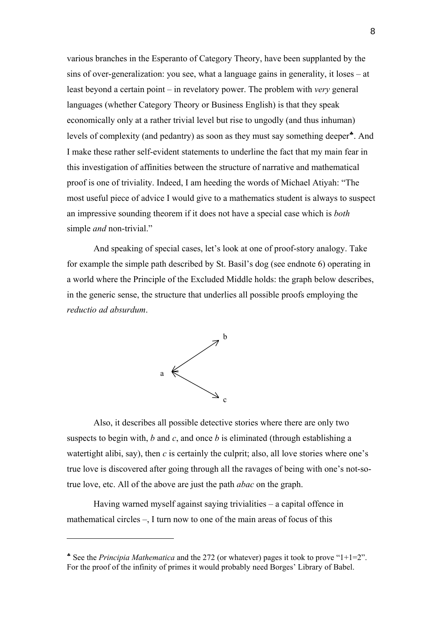various branches in the Esperanto of Category Theory, have been supplanted by the sins of over-generalization: you see, what a language gains in generality, it loses – at least beyond a certain point – in revelatory power. The problem with *very* general languages (whether Category Theory or Business English) is that they speak economically only at a rather trivial level but rise to ungodly (and thus inhuman) levels of complexity (and pedantry) as soon as they must say something deeper[♣](#page-7-0). And I make these rather self-evident statements to underline the fact that my main fear in this investigation of affinities between the structure of narrative and mathematical proof is one of triviality. Indeed, I am heeding the words of Michael Atiyah: "The most useful piece of advice I would give to a mathematics student is always to suspect an impressive sounding theorem if it does not have a special case which is *both* simple *and* non-trivial."

And speaking of special cases, let's look at one of proof-story analogy. Take for example the simple path described by St. Basil's dog (see endnote 6) operating in a world where the Principle of the Excluded Middle holds: the graph below describes, in the generic sense, the structure that underlies all possible proofs employing the *reductio ad absurdum*.



Also, it describes all possible detective stories where there are only two suspects to begin with, *b* and *c*, and once *b* is eliminated (through establishing a watertight alibi, say), then *c* is certainly the culprit; also, all love stories where one's true love is discovered after going through all the ravages of being with one's not-sotrue love, etc. All of the above are just the path *abac* on the graph.

Having warned myself against saying trivialities – a capital offence in mathematical circles –, I turn now to one of the main areas of focus of this

<span id="page-7-0"></span><sup>♣</sup> See the *Principia Mathematica* and the 272 (or whatever) pages it took to prove "1+1=2". For the proof of the infinity of primes it would probably need Borges' Library of Babel.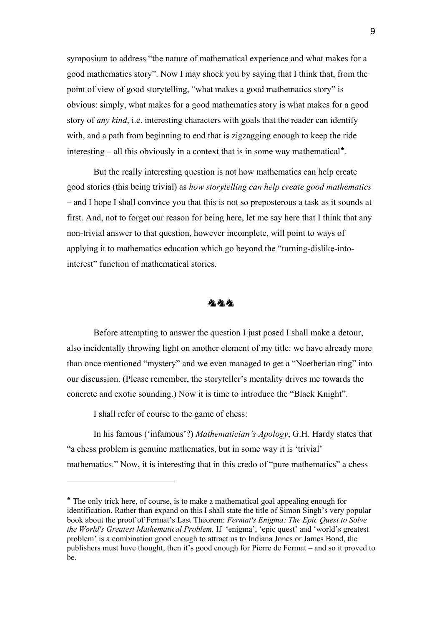symposium to address "the nature of mathematical experience and what makes for a good mathematics story". Now I may shock you by saying that I think that, from the point of view of good storytelling, "what makes a good mathematics story" is obvious: simply, what makes for a good mathematics story is what makes for a good story of *any kind*, i.e. interesting characters with goals that the reader can identify with, and a path from beginning to end that is zigzagging enough to keep the ride interesting – all this obviously in a context that is in some way mathematical $\cdot$ .

But the really interesting question is not how mathematics can help create good stories (this being trivial) as *how storytelling can help create good mathematics* – and I hope I shall convince you that this is not so preposterous a task as it sounds at first. And, not to forget our reason for being here, let me say here that I think that any non-trivial answer to that question, however incomplete, will point to ways of applying it to mathematics education which go beyond the "turning-dislike-intointerest" function of mathematical stories.



Before attempting to answer the question I just posed I shall make a detour, also incidentally throwing light on another element of my title: we have already more than once mentioned "mystery" and we even managed to get a "Noetherian ring" into our discussion. (Please remember, the storyteller's mentality drives me towards the concrete and exotic sounding.) Now it is time to introduce the "Black Knight".

I shall refer of course to the game of chess:

 $\overline{a}$ 

In his famous ('infamous'?) *Mathematician's Apology*, G.H. Hardy states that "a chess problem is genuine mathematics, but in some way it is 'trivial' mathematics." Now, it is interesting that in this credo of "pure mathematics" a chess

<span id="page-8-0"></span><sup>♣</sup> The only trick here, of course, is to make a mathematical goal appealing enough for identification. Rather than expand on this I shall state the title of Simon Singh's very popular book about the proof of Fermat's Last Theorem: *[Fermat's Enigma: The Epic Quest to Solve](http://www.amazon.com/exec/obidos/tg/detail/-/0385493622/qid=1080721069/sr=1-1/ref=sr_1_1/104-6749122-4603921?v=glance&s=books)  [the World's Greatest Mathematical Problem](http://www.amazon.com/exec/obidos/tg/detail/-/0385493622/qid=1080721069/sr=1-1/ref=sr_1_1/104-6749122-4603921?v=glance&s=books).* If 'enigma', 'epic quest' and 'world's greatest problem' is a combination good enough to attract us to Indiana Jones or James Bond, the publishers must have thought, then it's good enough for Pierre de Fermat – and so it proved to be.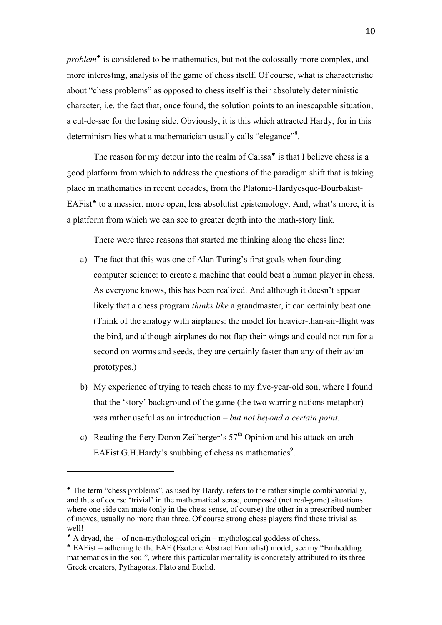*problem*[♣](#page-9-0) is considered to be mathematics, but not the colossally more complex, and more interesting, analysis of the game of chess itself. Of course, what is characteristic about "chess problems" as opposed to chess itself is their absolutely deterministic character, i.e. the fact that, once found, the solution points to an inescapable situation, a cul-de-sac for the losing side. Obviously, it is this which attracted Hardy, for in this determinism lies what a mathematician usually calls "elegance"<sup>8</sup>.

The reason for my detour into the realm of Caissa $\mathbf{v}$  is that I believe chess is a good platform from which to address the questions of the paradigm shift that is taking place in mathematics in recent decades, from the Platonic-Hardyesque-Bourbakist-EAFist<sup>\*</sup> to a messier, more open, less absolutist epistemology. And, what's more, it is a platform from which we can see to greater depth into the math-story link.

There were three reasons that started me thinking along the chess line:

- a) The fact that this was one of Alan Turing's first goals when founding computer science: to create a machine that could beat a human player in chess. As everyone knows, this has been realized. And although it doesn't appear likely that a chess program *thinks like* a grandmaster, it can certainly beat one. (Think of the analogy with airplanes: the model for heavier-than-air-flight was the bird, and although airplanes do not flap their wings and could not run for a second on worms and seeds, they are certainly faster than any of their avian prototypes.)
- b) My experience of trying to teach chess to my five-year-old son, where I found that the 'story' background of the game (the two warring nations metaphor) was rather useful as an introduction – *but not beyond a certain point.*
- c) Reading the fiery Doron Zeilberger's  $57<sup>th</sup>$  Opinion and his attack on arch-EAFist G.H.Hardy's snubbing of chess as mathematics<sup>[9](#page-62-8)</sup>.

<span id="page-9-0"></span><sup>♣</sup> The term "chess problems", as used by Hardy, refers to the rather simple combinatorially, and thus of course 'trivial' in the mathematical sense, composed (not real-game) situations where one side can mate (only in the chess sense, of course) the other in a prescribed number of moves, usually no more than three. Of course strong chess players find these trivial as well!

<span id="page-9-1"></span> $*$  A dryad, the – of non-mythological origin – mythological goddess of chess.

<span id="page-9-2"></span><sup>♣</sup> EAFist = adhering to the EAF (Esoteric Abstract Formalist) model; see my "Embedding mathematics in the soul", where this particular mentality is concretely attributed to its three Greek creators, Pythagoras, Plato and Euclid.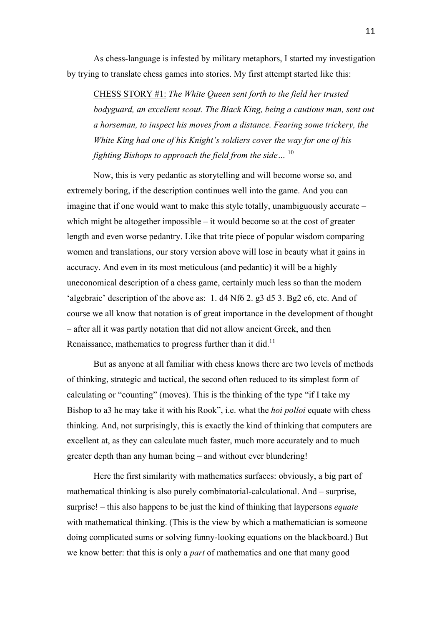As chess-language is infested by military metaphors, I started my investigation by trying to translate chess games into stories. My first attempt started like this:

CHESS STORY #1: *The White Queen sent forth to the field her trusted bodyguard, an excellent scout. The Black King, being a cautious man, sent out a horseman, to inspect his moves from a distance. Fearing some trickery, the White King had one of his Knight's soldiers cover the way for one of his fighting Bishops to approach the field from the side…* [10](#page-62-9)

Now, this is very pedantic as storytelling and will become worse so, and extremely boring, if the description continues well into the game. And you can imagine that if one would want to make this style totally, unambiguously accurate – which might be altogether impossible – it would become so at the cost of greater length and even worse pedantry. Like that trite piece of popular wisdom comparing women and translations, our story version above will lose in beauty what it gains in accuracy. And even in its most meticulous (and pedantic) it will be a highly uneconomical description of a chess game, certainly much less so than the modern 'algebraic' description of the above as: 1. d4 Nf6 2. g3 d5 3. Bg2 e6, etc. And of course we all know that notation is of great importance in the development of thought – after all it was partly notation that did not allow ancient Greek, and then Renaissance, mathematics to progress further than it did.<sup>11</sup>

But as anyone at all familiar with chess knows there are two levels of methods of thinking, strategic and tactical, the second often reduced to its simplest form of calculating or "counting" (moves). This is the thinking of the type "if I take my Bishop to a3 he may take it with his Rook", i.e. what the *hoi polloi* equate with chess thinking. And, not surprisingly, this is exactly the kind of thinking that computers are excellent at, as they can calculate much faster, much more accurately and to much greater depth than any human being – and without ever blundering!

Here the first similarity with mathematics surfaces: obviously, a big part of mathematical thinking is also purely combinatorial-calculational. And – surprise, surprise! – this also happens to be just the kind of thinking that laypersons *equate* with mathematical thinking. (This is the view by which a mathematician is someone doing complicated sums or solving funny-looking equations on the blackboard.) But we know better: that this is only a *part* of mathematics and one that many good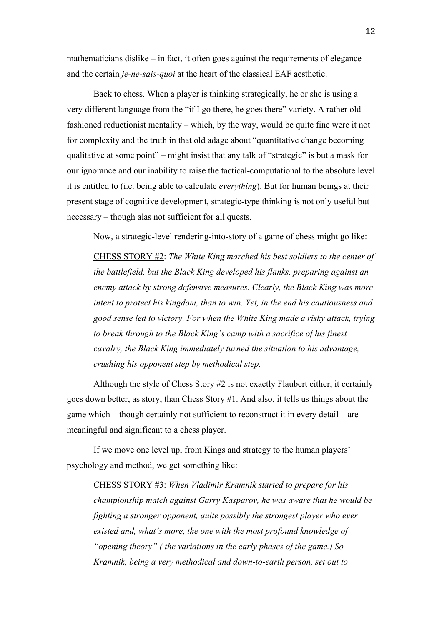mathematicians dislike – in fact, it often goes against the requirements of elegance and the certain *je-ne-sais-quoi* at the heart of the classical EAF aesthetic.

Back to chess. When a player is thinking strategically, he or she is using a very different language from the "if I go there, he goes there" variety. A rather oldfashioned reductionist mentality – which, by the way, would be quite fine were it not for complexity and the truth in that old adage about "quantitative change becoming qualitative at some point" – might insist that any talk of "strategic" is but a mask for our ignorance and our inability to raise the tactical-computational to the absolute level it is entitled to (i.e. being able to calculate *everything*). But for human beings at their present stage of cognitive development, strategic-type thinking is not only useful but necessary – though alas not sufficient for all quests.

Now, a strategic-level rendering-into-story of a game of chess might go like:

CHESS STORY #2: *The White King marched his best soldiers to the center of the battlefield, but the Black King developed his flanks, preparing against an enemy attack by strong defensive measures. Clearly, the Black King was more intent to protect his kingdom, than to win. Yet, in the end his cautiousness and good sense led to victory. For when the White King made a risky attack, trying to break through to the Black King's camp with a sacrifice of his finest cavalry, the Black King immediately turned the situation to his advantage, crushing his opponent step by methodical step.* 

Although the style of Chess Story #2 is not exactly Flaubert either, it certainly goes down better, as story, than Chess Story #1. And also, it tells us things about the game which – though certainly not sufficient to reconstruct it in every detail – are meaningful and significant to a chess player.

If we move one level up, from Kings and strategy to the human players' psychology and method, we get something like:

CHESS STORY #3: *When Vladimir Kramnik started to prepare for his championship match against Garry Kasparov, he was aware that he would be fighting a stronger opponent, quite possibly the strongest player who ever existed and, what's more, the one with the most profound knowledge of "opening theory" ( the variations in the early phases of the game.) So Kramnik, being a very methodical and down-to-earth person, set out to*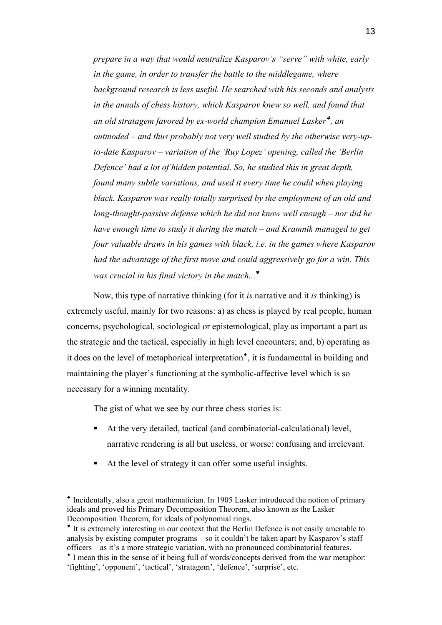*prepare in a way that would neutralize Kasparov's "serve" with white, early in the game, in order to transfer the battle to the middlegame, where background research is less useful. He searched with his seconds and analysts in the annals of chess history, which Kasparov knew so well, and found that an old stratagem favored by ex-world champion Emanuel Lasker*[♣](#page-12-0) *, an outmoded – and thus probably not very well studied by the otherwise very-upto-date Kasparov – variation of the 'Ruy Lopez' opening, called the 'Berlin Defence' had a lot of hidden potential. So, he studied this in great depth, found many subtle variations, and used it every time he could when playing black. Kasparov was really totally surprised by the employment of an old and long-thought-passive defense which he did not know well enough – nor did he have enough time to study it during the match – and Kramnik managed to get four valuable draws in his games with black, i.e. in the games where Kasparov had the advantage of the first move and could aggressively go for a win. This was crucial in his final victory in the match...*[♥](#page-12-1)

Now, this type of narrative thinking (for it *is* narrative and it *is* thinking) is extremely useful, mainly for two reasons: a) as chess is played by real people, human concerns, psychological, sociological or epistemological, play as important a part as the strategic and the tactical, especially in high level encounters; and, b) operating as it does on the level of metaphorical interpretation<sup> $\bullet$ </sup>, it is fundamental in building and maintaining the player's functioning at the symbolic-affective level which is so necessary for a winning mentality.

The gist of what we see by our three chess stories is:

- At the very detailed, tactical (and combinatorial-calculational) level, narrative rendering is all but useless, or worse: confusing and irrelevant.
- At the level of strategy it can offer some useful insights.

<span id="page-12-0"></span><sup>♣</sup> Incidentally, also a great mathematician. In 1905 Lasker introduced the notion of primary ideals and proved his Primary Decomposition Theorem, also known as the Lasker Decomposition Theorem, for ideals of polynomial rings.

<span id="page-12-1"></span><sup>♥</sup> It is extremely interesting in our context that the Berlin Defence is not easily amenable to analysis by existing computer programs – so it couldn't be taken apart by Kasparov's staff officers – as it's a more strategic variation, with no pronounced combinatorial features.

<span id="page-12-2"></span><sup>♦</sup> I mean this in the sense of it being full of words/concepts derived from the war metaphor: 'fighting', 'opponent', 'tactical', 'stratagem', 'defence', 'surprise', etc.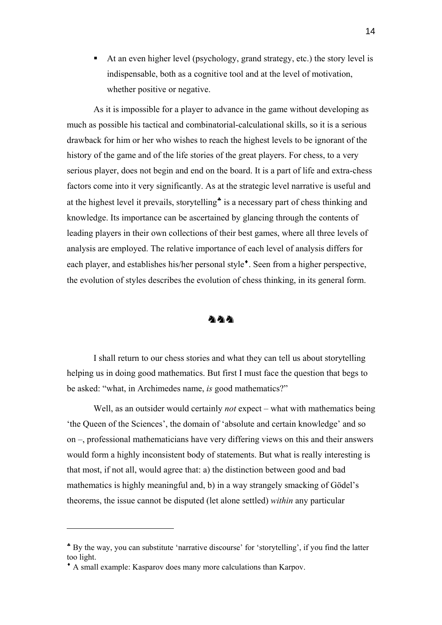At an even higher level (psychology, grand strategy, etc.) the story level is indispensable, both as a cognitive tool and at the level of motivation, whether positive or negative.

As it is impossible for a player to advance in the game without developing as much as possible his tactical and combinatorial-calculational skills, so it is a serious drawback for him or her who wishes to reach the highest levels to be ignorant of the history of the game and of the life stories of the great players. For chess, to a very serious player, does not begin and end on the board. It is a part of life and extra-chess factors come into it very significantly. As at the strategic level narrative is useful and at the highest level it prevails, storytelling<sup>\*</sup> is a necessary part of chess thinking and knowledge. Its importance can be ascertained by glancing through the contents of leading players in their own collections of their best games, where all three levels of analysis are employed. The relative importance of each level of analysis differs for each player, and establishes his/her personal style<sup> $\bullet$ </sup>. Seen from a higher perspective, the evolution of styles describes the evolution of chess thinking, in its general form.

#### めめめ

I shall return to our chess stories and what they can tell us about storytelling helping us in doing good mathematics. But first I must face the question that begs to be asked: "what, in Archimedes name, *is* good mathematics?"

Well, as an outsider would certainly *not* expect – what with mathematics being 'the Queen of the Sciences', the domain of 'absolute and certain knowledge' and so on –, professional mathematicians have very differing views on this and their answers would form a highly inconsistent body of statements. But what is really interesting is that most, if not all, would agree that: a) the distinction between good and bad mathematics is highly meaningful and, b) in a way strangely smacking of Gödel's theorems, the issue cannot be disputed (let alone settled) *within* any particular

<span id="page-13-0"></span><sup>♣</sup> By the way, you can substitute 'narrative discourse' for 'storytelling', if you find the latter too light.

<span id="page-13-1"></span><sup>♦</sup> A small example: Kasparov does many more calculations than Karpov.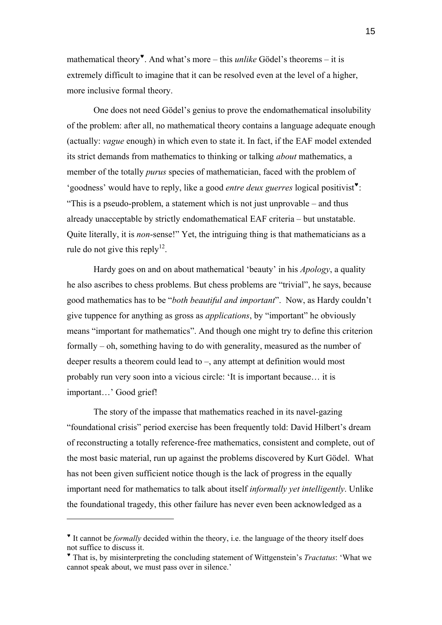mathematical theory[♥](#page-14-0). And what's more – this *unlike* Gödel's theorems – it is extremely difficult to imagine that it can be resolved even at the level of a higher, more inclusive formal theory.

One does not need Gödel's genius to prove the endomathematical insolubility of the problem: after all, no mathematical theory contains a language adequate enough (actually: *vague* enough) in which even to state it. In fact, if the EAF model extended its strict demands from mathematics to thinking or talking *about* mathematics, a member of the totally *purus* species of mathematician, faced with the problem of 'goodness' would have to reply, like a good *entre deux guerres* logical positivist[♥](#page-14-1): "This is a pseudo-problem, a statement which is not just unprovable – and thus already unacceptable by strictly endomathematical EAF criteria – but unstatable. Quite literally, it is *non*-sense!" Yet, the intriguing thing is that mathematicians as a rule do not give this reply<sup>12</sup>.

Hardy goes on and on about mathematical 'beauty' in his *Apology*, a quality he also ascribes to chess problems. But chess problems are "trivial", he says, because good mathematics has to be "*both beautiful and important*". Now, as Hardy couldn't give tuppence for anything as gross as *applications*, by "important" he obviously means "important for mathematics". And though one might try to define this criterion formally – oh, something having to do with generality, measured as the number of deeper results a theorem could lead to –, any attempt at definition would most probably run very soon into a vicious circle: 'It is important because… it is important…' Good grief!

The story of the impasse that mathematics reached in its navel-gazing "foundational crisis" period exercise has been frequently told: David Hilbert's dream of reconstructing a totally reference-free mathematics, consistent and complete, out of the most basic material, run up against the problems discovered by Kurt Gödel. What has not been given sufficient notice though is the lack of progress in the equally important need for mathematics to talk about itself *informally yet intelligently*. Unlike the foundational tragedy, this other failure has never even been acknowledged as a

<span id="page-14-0"></span><sup>♥</sup> It cannot be *formally* decided within the theory, i.e. the language of the theory itself does not suffice to discuss it.

<span id="page-14-1"></span><sup>♥</sup> That is, by misinterpreting the concluding statement of Wittgenstein's *Tractatus*: 'What we cannot speak about, we must pass over in silence.'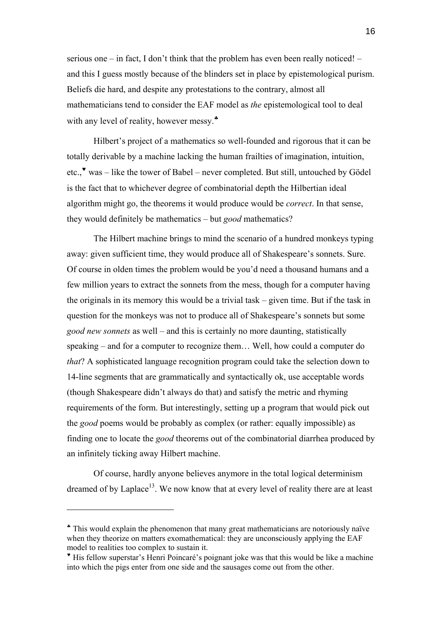serious one – in fact, I don't think that the problem has even been really noticed! – and this I guess mostly because of the blinders set in place by epistemological purism. Beliefs die hard, and despite any protestations to the contrary, almost all mathematicians tend to consider the EAF model as *the* epistemological tool to deal with any level of reality, however messy.<sup>\*</sup>

Hilbert's project of a mathematics so well-founded and rigorous that it can be totally derivable by a machine lacking the human frailties of imagination, intuition, etc.,[♥](#page-15-1) was – like the tower of Babel – never completed. But still, untouched by Gödel is the fact that to whichever degree of combinatorial depth the Hilbertian ideal algorithm might go, the theorems it would produce would be *correct*. In that sense, they would definitely be mathematics – but *good* mathematics?

The Hilbert machine brings to mind the scenario of a hundred monkeys typing away: given sufficient time, they would produce all of Shakespeare's sonnets. Sure. Of course in olden times the problem would be you'd need a thousand humans and a few million years to extract the sonnets from the mess, though for a computer having the originals in its memory this would be a trivial task – given time. But if the task in question for the monkeys was not to produce all of Shakespeare's sonnets but some *good new sonnets* as well – and this is certainly no more daunting, statistically speaking – and for a computer to recognize them… Well, how could a computer do *that*? A sophisticated language recognition program could take the selection down to 14-line segments that are grammatically and syntactically ok, use acceptable words (though Shakespeare didn't always do that) and satisfy the metric and rhyming requirements of the form. But interestingly, setting up a program that would pick out the *good* poems would be probably as complex (or rather: equally impossible) as finding one to locate the *good* theorems out of the combinatorial diarrhea produced by an infinitely ticking away Hilbert machine.

Of course, hardly anyone believes anymore in the total logical determinism dreamed of by Laplace<sup>13</sup>. We now know that at every level of reality there are at least

<span id="page-15-0"></span><sup>♣</sup> This would explain the phenomenon that many great mathematicians are notoriously naïve when they theorize on matters exomathematical: they are unconsciously applying the EAF model to realities too complex to sustain it.

<span id="page-15-1"></span><sup>♥</sup> His fellow superstar's Henri Poincaré's poignant joke was that this would be like a machine into which the pigs enter from one side and the sausages come out from the other.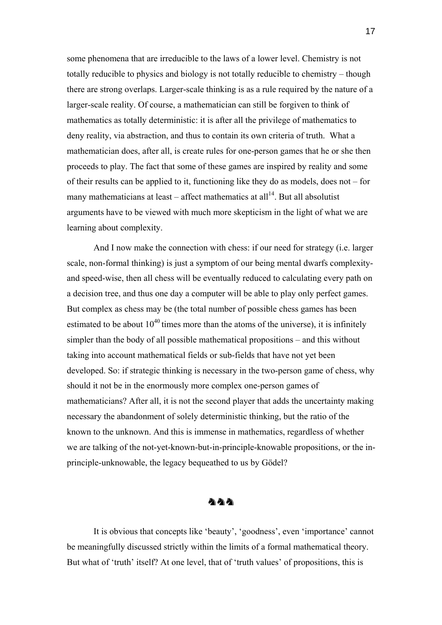some phenomena that are irreducible to the laws of a lower level. Chemistry is not totally reducible to physics and biology is not totally reducible to chemistry – though there are strong overlaps. Larger-scale thinking is as a rule required by the nature of a larger-scale reality. Of course, a mathematician can still be forgiven to think of mathematics as totally deterministic: it is after all the privilege of mathematics to deny reality, via abstraction, and thus to contain its own criteria of truth. What a mathematician does, after all, is create rules for one-person games that he or she then proceeds to play. The fact that some of these games are inspired by reality and some of their results can be applied to it, functioning like they do as models, does not – for many mathematicians at least – affect mathematics at all<sup>14</sup>. But all absolutist arguments have to be viewed with much more skepticism in the light of what we are learning about complexity.

And I now make the connection with chess: if our need for strategy (i.e. larger scale, non-formal thinking) is just a symptom of our being mental dwarfs complexityand speed-wise, then all chess will be eventually reduced to calculating every path on a decision tree, and thus one day a computer will be able to play only perfect games. But complex as chess may be (the total number of possible chess games has been estimated to be about  $10^{40}$  times more than the atoms of the universe), it is infinitely simpler than the body of all possible mathematical propositions – and this without taking into account mathematical fields or sub-fields that have not yet been developed. So: if strategic thinking is necessary in the two-person game of chess, why should it not be in the enormously more complex one-person games of mathematicians? After all, it is not the second player that adds the uncertainty making necessary the abandonment of solely deterministic thinking, but the ratio of the known to the unknown. And this is immense in mathematics, regardless of whether we are talking of the not-yet-known-but-in-principle-knowable propositions, or the inprinciple-unknowable, the legacy bequeathed to us by Gödel?

#### 小小小

It is obvious that concepts like 'beauty', 'goodness', even 'importance' cannot be meaningfully discussed strictly within the limits of a formal mathematical theory. But what of 'truth' itself? At one level, that of 'truth values' of propositions, this is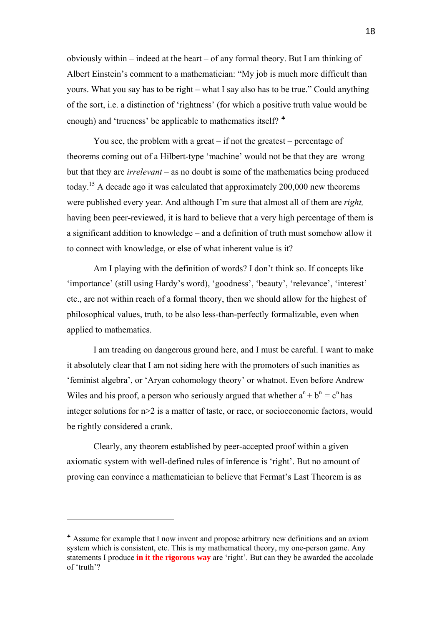obviously within – indeed at the heart – of any formal theory. But I am thinking of Albert Einstein's comment to a mathematician: "My job is much more difficult than yours. What you say has to be right – what I say also has to be true." Could anything of the sort, i.e. a distinction of 'rightness' (for which a positive truth value would be enough) and 'trueness' be applicable to mathematics itself?  $*$ 

You see, the problem with a great – if not the greatest – percentage of theorems coming out of a Hilbert-type 'machine' would not be that they are wrong but that they are *irrelevant* – as no doubt is some of the mathematics being produced today.[15 A](#page-62-13) decade ago it was calculated that approximately 200,000 new theorems were published every year. And although I'm sure that almost all of them are *right,*  having been peer-reviewed, it is hard to believe that a very high percentage of them is a significant addition to knowledge – and a definition of truth must somehow allow it to connect with knowledge, or else of what inherent value is it?

Am I playing with the definition of words? I don't think so. If concepts like 'importance' (still using Hardy's word), 'goodness', 'beauty', 'relevance', 'interest' etc., are not within reach of a formal theory, then we should allow for the highest of philosophical values, truth, to be also less-than-perfectly formalizable, even when applied to mathematics.

I am treading on dangerous ground here, and I must be careful. I want to make it absolutely clear that I am not siding here with the promoters of such inanities as 'feminist algebra', or 'Aryan cohomology theory' or whatnot. Even before Andrew Wiles and his proof, a person who seriously argued that whether  $a^{n} + b^{n} = c^{n}$  has integer solutions for n>2 is a matter of taste, or race, or socioeconomic factors, would be rightly considered a crank.

Clearly, any theorem established by peer-accepted proof within a given axiomatic system with well-defined rules of inference is 'right'. But no amount of proving can convince a mathematician to believe that Fermat's Last Theorem is as

<span id="page-17-0"></span><sup>♣</sup> Assume for example that I now invent and propose arbitrary new definitions and an axiom system which is consistent, etc. This is my mathematical theory, my one-person game. Any statements I produce **in it the rigorous way** are 'right'. But can they be awarded the accolade of 'truth'?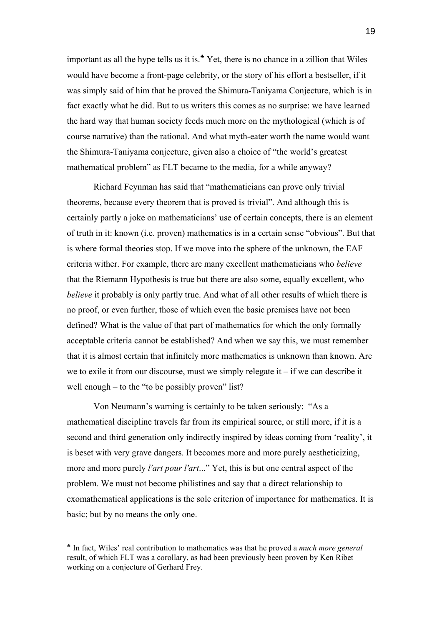important as all the hype tells us it is.<sup>\*</sup> Yet, there is no chance in a zillion that Wiles would have become a front-page celebrity, or the story of his effort a bestseller, if it was simply said of him that he proved the Shimura-Taniyama Conjecture, which is in fact exactly what he did. But to us writers this comes as no surprise: we have learned the hard way that human society feeds much more on the mythological (which is of course narrative) than the rational. And what myth-eater worth the name would want the Shimura-Taniyama conjecture, given also a choice of "the world's greatest mathematical problem" as FLT became to the media, for a while anyway?

Richard Feynman has said that "mathematicians can prove only trivial theorems, because every theorem that is proved is trivial". And although this is certainly partly a joke on mathematicians' use of certain concepts, there is an element of truth in it: known (i.e. proven) mathematics is in a certain sense "obvious". But that is where formal theories stop. If we move into the sphere of the unknown, the EAF criteria wither. For example, there are many excellent mathematicians who *believe* that the Riemann Hypothesis is true but there are also some, equally excellent, who *believe* it probably is only partly true. And what of all other results of which there is no proof, or even further, those of which even the basic premises have not been defined? What is the value of that part of mathematics for which the only formally acceptable criteria cannot be established? And when we say this, we must remember that it is almost certain that infinitely more mathematics is unknown than known. Are we to exile it from our discourse, must we simply relegate it  $-$  if we can describe it well enough – to the "to be possibly proven" list?

Von Neumann's warning is certainly to be taken seriously: "As a mathematical discipline travels far from its empirical source, or still more, if it is a second and third generation only indirectly inspired by ideas coming from 'reality', it is beset with very grave dangers. It becomes more and more purely aestheticizing, more and more purely *l'art pour l'art*..." Yet, this is but one central aspect of the problem. We must not become philistines and say that a direct relationship to exomathematical applications is the sole criterion of importance for mathematics. It is basic; but by no means the only one.

<span id="page-18-0"></span><sup>♣</sup> In fact, Wiles' real contribution to mathematics was that he proved a *much more general* result, of which FLT was a corollary, as had been previously been proven by Ken Ribet working on a conjecture of Gerhard Frey.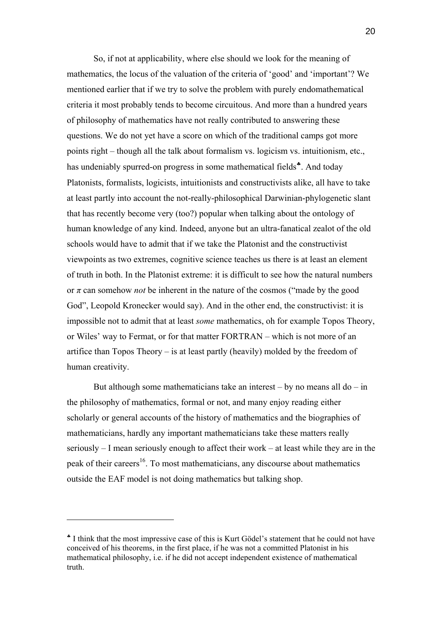So, if not at applicability, where else should we look for the meaning of mathematics, the locus of the valuation of the criteria of 'good' and 'important'? We mentioned earlier that if we try to solve the problem with purely endomathematical criteria it most probably tends to become circuitous. And more than a hundred years of philosophy of mathematics have not really contributed to answering these questions. We do not yet have a score on which of the traditional camps got more points right – though all the talk about formalism vs. logicism vs. intuitionism, etc., has undeniably spurred-on progress in some mathematical fields<sup>\*</sup>. And today Platonists, formalists, logicists, intuitionists and constructivists alike, all have to take at least partly into account the not-really-philosophical Darwinian-phylogenetic slant that has recently become very (too?) popular when talking about the ontology of human knowledge of any kind. Indeed, anyone but an ultra-fanatical zealot of the old schools would have to admit that if we take the Platonist and the constructivist viewpoints as two extremes, cognitive science teaches us there is at least an element of truth in both. In the Platonist extreme: it is difficult to see how the natural numbers or *π* can somehow *not* be inherent in the nature of the cosmos ("made by the good God", Leopold Kronecker would say). And in the other end, the constructivist: it is impossible not to admit that at least *some* mathematics, oh for example Topos Theory, or Wiles' way to Fermat, or for that matter FORTRAN – which is not more of an artifice than Topos Theory – is at least partly (heavily) molded by the freedom of human creativity.

But although some mathematicians take an interest – by no means all  $do - in$ the philosophy of mathematics, formal or not, and many enjoy reading either scholarly or general accounts of the history of mathematics and the biographies of mathematicians, hardly any important mathematicians take these matters really seriously – I mean seriously enough to affect their work – at least while they are in the peak of their careers<sup>16</sup>. To most mathematicians, any discourse about mathematics outside the EAF model is not doing mathematics but talking shop.

<span id="page-19-0"></span><sup>♣</sup> I think that the most impressive case of this is Kurt Gödel's statement that he could not have conceived of his theorems, in the first place, if he was not a committed Platonist in his mathematical philosophy, i.e. if he did not accept independent existence of mathematical truth.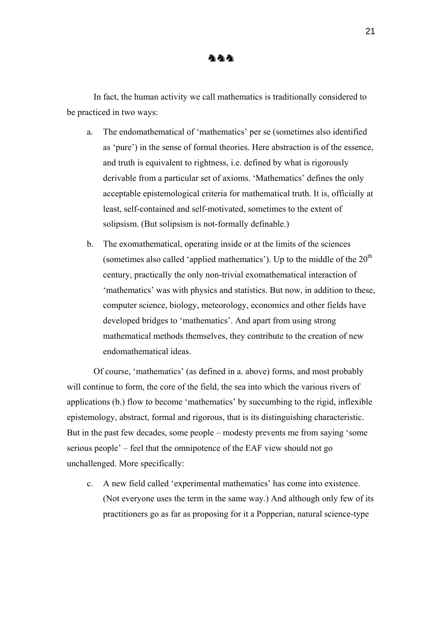In fact, the human activity we call mathematics is traditionally considered to be practiced in two ways:

- a. The endomathematical of 'mathematics' per se (sometimes also identified as 'pure') in the sense of formal theories. Here abstraction is of the essence, and truth is equivalent to rightness, i.e. defined by what is rigorously derivable from a particular set of axioms. 'Mathematics' defines the only acceptable epistemological criteria for mathematical truth. It is, officially at least, self-contained and self-motivated, sometimes to the extent of solipsism. (But solipsism is not-formally definable.)
- b. The exomathematical, operating inside or at the limits of the sciences (sometimes also called 'applied mathematics'). Up to the middle of the  $20<sup>th</sup>$ century, practically the only non-trivial exomathematical interaction of 'mathematics' was with physics and statistics. But now, in addition to these, computer science, biology, meteorology, economics and other fields have developed bridges to 'mathematics'. And apart from using strong mathematical methods themselves, they contribute to the creation of new endomathematical ideas.

Of course, 'mathematics' (as defined in a. above) forms, and most probably will continue to form, the core of the field, the sea into which the various rivers of applications (b.) flow to become 'mathematics' by succumbing to the rigid, inflexible epistemology, abstract, formal and rigorous, that is its distinguishing characteristic. But in the past few decades, some people – modesty prevents me from saying 'some serious people' – feel that the omnipotence of the EAF view should not go unchallenged. More specifically:

c. A new field called 'experimental mathematics' has come into existence. (Not everyone uses the term in the same way.) And although only few of its practitioners go as far as proposing for it a Popperian, natural science-type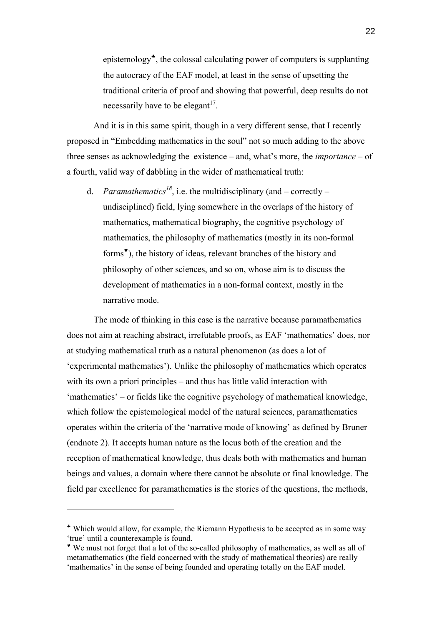epistemology[♣](#page-21-0), the colossal calculating power of computers is supplanting the autocracy of the EAF model, at least in the sense of upsetting the traditional criteria of proof and showing that powerful, deep results do not necessarily have to be elegant<sup>17</sup>.

And it is in this same spirit, though in a very different sense, that I recently proposed in "Embedding mathematics in the soul" not so much adding to the above three senses as acknowledging the existence – and, what's more, the *importance* – of a fourth, valid way of dabbling in the wider of mathematical truth:

d. *Paramathematics*<sup>[18](#page-62-16)</sup>, i.e. the multidisciplinary (and – correctly – undisciplined) field, lying somewhere in the overlaps of the history of mathematics, mathematical biography, the cognitive psychology of mathematics, the philosophy of mathematics (mostly in its non-formal forms<sup>\*</sup>), the history of ideas, relevant branches of the history and philosophy of other sciences, and so on, whose aim is to discuss the development of mathematics in a non-formal context, mostly in the narrative mode.

The mode of thinking in this case is the narrative because paramathematics does not aim at reaching abstract, irrefutable proofs, as EAF 'mathematics' does, nor at studying mathematical truth as a natural phenomenon (as does a lot of 'experimental mathematics'). Unlike the philosophy of mathematics which operates with its own a priori principles – and thus has little valid interaction with 'mathematics' – or fields like the cognitive psychology of mathematical knowledge, which follow the epistemological model of the natural sciences, paramathematics operates within the criteria of the 'narrative mode of knowing' as defined by Bruner (endnote 2). It accepts human nature as the locus both of the creation and the reception of mathematical knowledge, thus deals both with mathematics and human beings and values, a domain where there cannot be absolute or final knowledge. The field par excellence for paramathematics is the stories of the questions, the methods,

<span id="page-21-0"></span><sup>♣</sup> Which would allow, for example, the Riemann Hypothesis to be accepted as in some way 'true' until a counterexample is found.

<span id="page-21-1"></span><sup>♥</sup> We must not forget that a lot of the so-called philosophy of mathematics, as well as all of metamathematics (the field concerned with the study of mathematical theories) are really 'mathematics' in the sense of being founded and operating totally on the EAF model.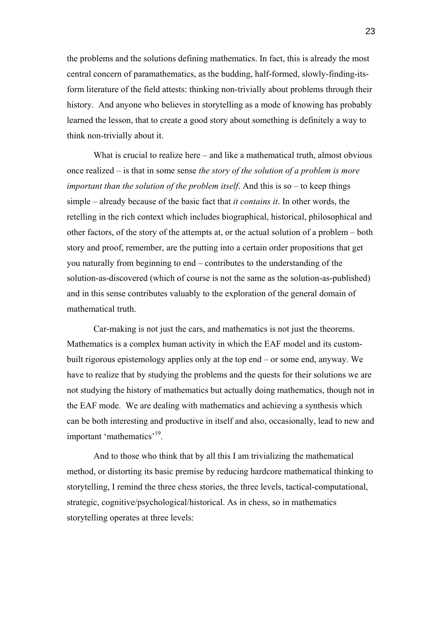the problems and the solutions defining mathematics. In fact, this is already the most central concern of paramathematics, as the budding, half-formed, slowly-finding-itsform literature of the field attests: thinking non-trivially about problems through their history. And anyone who believes in storytelling as a mode of knowing has probably learned the lesson, that to create a good story about something is definitely a way to think non-trivially about it.

What is crucial to realize here – and like a mathematical truth, almost obvious once realized – is that in some sense *the story of the solution of a problem is more important than the solution of the problem itself*. And this is so – to keep things simple – already because of the basic fact that *it contains it*. In other words, the retelling in the rich context which includes biographical, historical, philosophical and other factors, of the story of the attempts at, or the actual solution of a problem – both story and proof, remember, are the putting into a certain order propositions that get you naturally from beginning to end – contributes to the understanding of the solution-as-discovered (which of course is not the same as the solution-as-published) and in this sense contributes valuably to the exploration of the general domain of mathematical truth.

Car-making is not just the cars, and mathematics is not just the theorems. Mathematics is a complex human activity in which the EAF model and its custombuilt rigorous epistemology applies only at the top end – or some end, anyway. We have to realize that by studying the problems and the quests for their solutions we are not studying the history of mathematics but actually doing mathematics, though not in the EAF mode. We are dealing with mathematics and achieving a synthesis which can be both interesting and productive in itself and also, occasionally, lead to new and important 'mathematics'[19.](#page-62-5) 

And to those who think that by all this I am trivializing the mathematical method, or distorting its basic premise by reducing hardcore mathematical thinking to storytelling, I remind the three chess stories, the three levels, tactical-computational, strategic, cognitive/psychological/historical. As in chess, so in mathematics storytelling operates at three levels: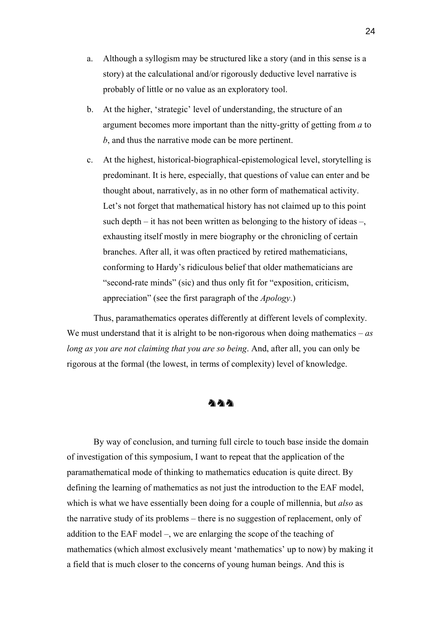- a. Although a syllogism may be structured like a story (and in this sense is a story) at the calculational and/or rigorously deductive level narrative is probably of little or no value as an exploratory tool.
- b. At the higher, 'strategic' level of understanding, the structure of an argument becomes more important than the nitty-gritty of getting from *a* to *b*, and thus the narrative mode can be more pertinent.
- c. At the highest, historical-biographical-epistemological level, storytelling is predominant. It is here, especially, that questions of value can enter and be thought about, narratively, as in no other form of mathematical activity. Let's not forget that mathematical history has not claimed up to this point such depth – it has not been written as belonging to the history of ideas –, exhausting itself mostly in mere biography or the chronicling of certain branches. After all, it was often practiced by retired mathematicians, conforming to Hardy's ridiculous belief that older mathematicians are "second-rate minds" (sic) and thus only fit for "exposition, criticism, appreciation" (see the first paragraph of the *Apology*.)

Thus, paramathematics operates differently at different levels of complexity. We must understand that it is alright to be non-rigorous when doing mathematics – *as long as you are not claiming that you are so being*. And, after all, you can only be rigorous at the formal (the lowest, in terms of complexity) level of knowledge.

### めめめ

By way of conclusion, and turning full circle to touch base inside the domain of investigation of this symposium, I want to repeat that the application of the paramathematical mode of thinking to mathematics education is quite direct. By defining the learning of mathematics as not just the introduction to the EAF model, which is what we have essentially been doing for a couple of millennia, but *also* as the narrative study of its problems – there is no suggestion of replacement, only of addition to the EAF model –, we are enlarging the scope of the teaching of mathematics (which almost exclusively meant 'mathematics' up to now) by making it a field that is much closer to the concerns of young human beings. And this is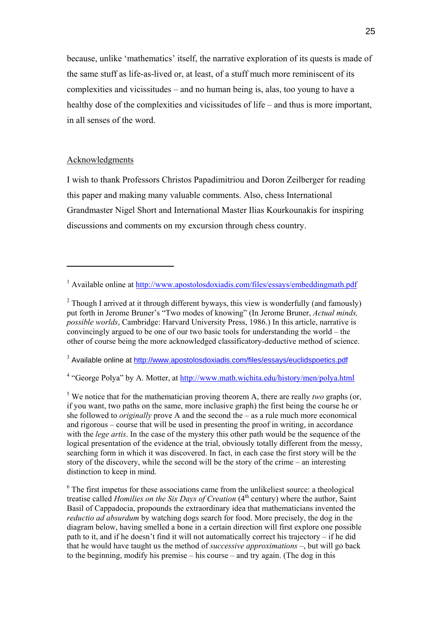because, unlike 'mathematics' itself, the narrative exploration of its quests is made of the same stuff as life-as-lived or, at least, of a stuff much more reminiscent of its complexities and vicissitudes – and no human being is, alas, too young to have a healthy dose of the complexities and vicissitudes of life – and thus is more important, in all senses of the word.

#### Acknowledgments

 $\overline{a}$ 

I wish to thank Professors Christos Papadimitriou and Doron Zeilberger for reading this paper and making many valuable comments. Also, chess International Grandmaster Nigel Short and International Master Ilias Kourkounakis for inspiring discussions and comments on my excursion through chess country.

<sup>3</sup> Available online at<http://www.apostolosdoxiadis.com/files/essays/euclidspoetics.pdf>

<sup>4</sup> "George Polya" by A. Motter, at<http://www.math.wichita.edu/history/men/polya.html>

<sup>5</sup> We notice that for the mathematician proving theorem A, there are really *two* graphs (or, if you want, two paths on the same, more inclusive graph) the first being the course he or she followed to *originally* prove A and the second the – as a rule much more economical and rigorous – course that will be used in presenting the proof in writing, in accordance with the *lege artis*. In the case of the mystery this other path would be the sequence of the logical presentation of the evidence at the trial, obviously totally different from the messy, searching form in which it was discovered. In fact, in each case the first story will be the story of the discovery, while the second will be the story of the crime – an interesting distinction to keep in mind.

<sup>6</sup> The first impetus for these associations came from the unlikeliest source: a theological treatise called *Homilies on the Six Days of Creation* (4<sup>th</sup> century) where the author, Saint Basil of Cappadocia, propounds the extraordinary idea that mathematicians invented the *reductio ad absurdum* by watching dogs search for food. More precisely, the dog in the diagram below, having smelled a bone in a certain direction will first explore one possible path to it, and if he doesn't find it will not automatically correct his trajectory – if he did that he would have taught us the method of *successive approximations* –, but will go back to the beginning, modify his premise – his course – and try again. (The dog in this

<sup>&</sup>lt;sup>1</sup> Available online at <http://www.apostolosdoxiadis.com/files/essays/embeddingmath.pdf>

 $2$  Though I arrived at it through different byways, this view is wonderfully (and famously) put forth in Jerome Bruner's "Two modes of knowing" (In Jerome Bruner, *Actual minds, possible worlds*, Cambridge: Harvard University Press, 1986.) In this article, narrative is convincingly argued to be one of our two basic tools for understanding the world – the other of course being the more acknowledged classificatory-deductive method of science.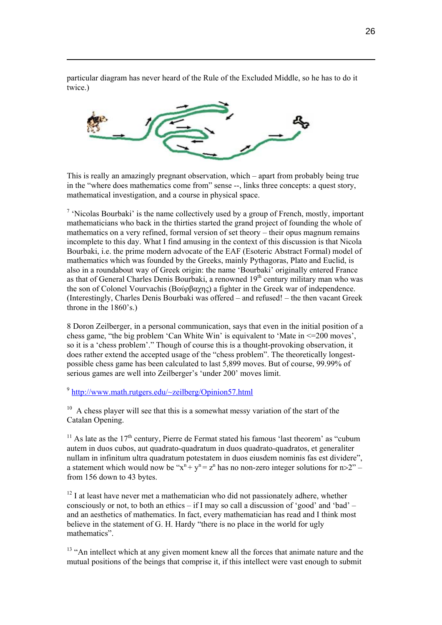particular diagram has never heard of the Rule of the Excluded Middle, so he has to do it twice.)



 $\overline{a}$ 

This is really an amazingly pregnant observation, which – apart from probably being true in the "where does mathematics come from" sense --, links three concepts: a quest story, mathematical investigation, and a course in physical space.

<sup>7</sup> 'Nicolas Bourbaki' is the name collectively used by a group of French, mostly, important mathematicians who back in the thirties started the grand project of founding the whole of mathematics on a very refined, formal version of set theory – their opus magnum remains incomplete to this day. What I find amusing in the context of this discussion is that Nicola Bourbaki, i.e. the prime modern advocate of the EAF (Esoteric Abstract Formal) model of mathematics which was founded by the Greeks, mainly Pythagoras, Plato and Euclid, is also in a roundabout way of Greek origin: the name 'Bourbaki' originally entered France as that of General Charles Denis Bourbaki, a renowned 19<sup>th</sup> century military man who was the son of Colonel Vourvachis (Βούρβαχης) a fighter in the Greek war of independence. (Interestingly, Charles Denis Bourbaki was offered – and refused! – the then vacant Greek throne in the 1860's.)

8 Doron Zeilberger, in a personal communication, says that even in the initial position of a chess game, "the big problem 'Can White Win' is equivalent to 'Mate in <=200 moves', so it is a 'chess problem'." Though of course this is a thought-provoking observation, it does rather extend the accepted usage of the "chess problem". The theoretically longestpossible chess game has been calculated to last 5,899 moves. But of course, 99.99% of serious games are well into Zeilberger's 'under 200' moves limit.

<sup>9</sup> <http://www.math.rutgers.edu/~zeilberg/Opinion57.html>

 $10<sup>10</sup>$  A chess player will see that this is a somewhat messy variation of the start of the Catalan Opening.

<sup>11</sup> As late as the  $17<sup>th</sup>$  century, Pierre de Fermat stated his famous 'last theorem' as "cubum" autem in duos cubos, aut quadrato-quadratum in duos quadrato-quadratos, et generaliter nullam in infinitum ultra quadratum potestatem in duos eiusdem nominis fas est dividere", a statement which would now be " $x^n + y^n = z^n$  has no non-zero integer solutions for  $n > 2$ " – from 156 down to 43 bytes.

 $12$  I at least have never met a mathematician who did not passionately adhere, whether consciously or not, to both an ethics – if I may so call a discussion of 'good' and 'bad' – and an aesthetics of mathematics. In fact, every mathematician has read and I think most believe in the statement of G. H. Hardy "there is no place in the world for ugly mathematics".

<sup>13</sup> "An intellect which at any given moment knew all the forces that animate nature and the mutual positions of the beings that comprise it, if this intellect were vast enough to submit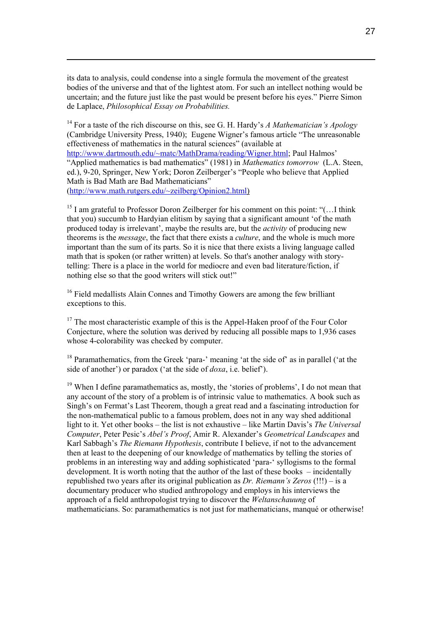its data to analysis, could condense into a single formula the movement of the greatest bodies of the universe and that of the lightest atom. For such an intellect nothing would be uncertain; and the future just like the past would be present before his eyes." Pierre Simon de Laplace, *Philosophical Essay on Probabilities.*

 $\overline{a}$ 

<sup>14</sup> For a taste of the rich discourse on this, see G. H. Hardy's *A Mathematician's Apology* (Cambridge University Press, 1940); Eugene Wigner's famous article "The unreasonable effectiveness of mathematics in the natural sciences" (available at [http://www.dartmouth.edu/~matc/MathDrama/reading/Wigner.html;](http://www.dartmouth.edu/~matc/MathDrama/reading/Wigner.html) Paul Halmos'

"Applied mathematics is bad mathematics" (1981) in *Mathematics tomorrow* (L.A. Steen, ed.), 9-20, Springer, New York; Doron Zeilberger's "People who believe that Applied Math is Bad Math are Bad Mathematicians" (<http://www.math.rutgers.edu/~zeilberg/Opinion2.html>)

<sup>15</sup> I am grateful to Professor Doron Zeilberger for his comment on this point: " $($ ... I think that you) succumb to Hardyian elitism by saying that a significant amount 'of the math produced today is irrelevant', maybe the results are, but the *activity* of producing new theorems is the *message*, the fact that there exists a *culture*, and the whole is much more important than the sum of its parts. So it is nice that there exists a living language called math that is spoken (or rather written) at levels. So that's another analogy with storytelling: There is a place in the world for mediocre and even bad literature/fiction, if nothing else so that the good writers will stick out!"

<sup>16</sup> Field medallists Alain Connes and Timothy Gowers are among the few brilliant exceptions to this.

 $17$  The most characteristic example of this is the Appel-Haken proof of the Four Color Conjecture, where the solution was derived by reducing all possible maps to 1,936 cases whose 4-colorability was checked by computer.

<sup>18</sup> Paramathematics, from the Greek 'para-' meaning 'at the side of' as in parallel ('at the side of another') or paradox ('at the side of *doxa*, i.e. belief').

 $19$  When I define paramathematics as, mostly, the 'stories of problems', I do not mean that any account of the story of a problem is of intrinsic value to mathematics. A book such as Singh's on Fermat's Last Theorem, though a great read and a fascinating introduction for the non-mathematical public to a famous problem, does not in any way shed additional light to it. Yet other books – the list is not exhaustive – like Martin Davis's *The Universal Computer*, Peter Pesic's *Abel's Proof*, Amir R. Alexander's *Geometrical Landscapes* and Karl Sabbagh's *The Riemann Hypothesis*, contribute I believe, if not to the advancement then at least to the deepening of our knowledge of mathematics by telling the stories of problems in an interesting way and adding sophisticated 'para-' syllogisms to the formal development. It is worth noting that the author of the last of these books – incidentally republished two years after its original publication as *Dr. Riemann's Zeros* (!!!) – is a documentary producer who studied anthropology and employs in his interviews the approach of a field anthropologist trying to discover the *Weltanschauung* of mathematicians. So: paramathematics is not just for mathematicians, manqué or otherwise!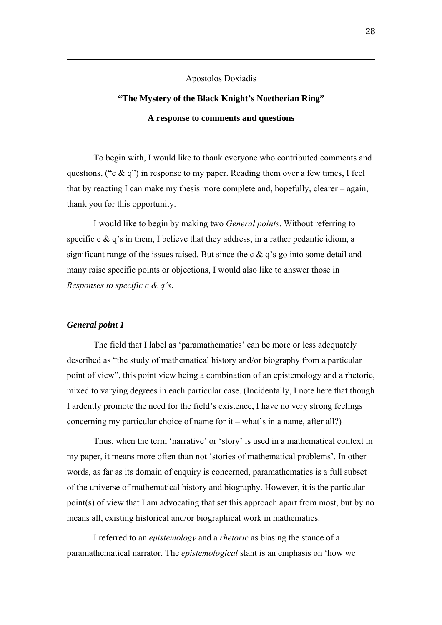Apostolos Doxiadis

# **"The Mystery of the Black Knight's Noetherian Ring" A response to comments and questions**

To begin with, I would like to thank everyone who contributed comments and questions, ("c  $\&$  q") in response to my paper. Reading them over a few times, I feel that by reacting I can make my thesis more complete and, hopefully, clearer – again, thank you for this opportunity.

I would like to begin by making two *General points*. Without referring to specific c  $\&$  q's in them, I believe that they address, in a rather pedantic idiom, a significant range of the issues raised. But since the c  $\&$  q's go into some detail and many raise specific points or objections, I would also like to answer those in *Responses to specific c & q's*.

#### *General point 1*

 $\overline{a}$ 

The field that I label as 'paramathematics' can be more or less adequately described as "the study of mathematical history and/or biography from a particular point of view", this point view being a combination of an epistemology and a rhetoric, mixed to varying degrees in each particular case. (Incidentally, I note here that though I ardently promote the need for the field's existence, I have no very strong feelings concerning my particular choice of name for it – what's in a name, after all?)

Thus, when the term 'narrative' or 'story' is used in a mathematical context in my paper, it means more often than not 'stories of mathematical problems'. In other words, as far as its domain of enquiry is concerned, paramathematics is a full subset of the universe of mathematical history and biography. However, it is the particular point(s) of view that I am advocating that set this approach apart from most, but by no means all, existing historical and/or biographical work in mathematics.

I referred to an *epistemology* and a *rhetoric* as biasing the stance of a paramathematical narrator. The *epistemological* slant is an emphasis on 'how we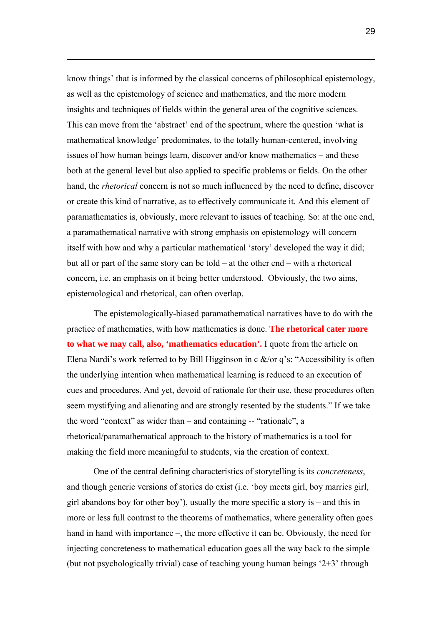know things' that is informed by the classical concerns of philosophical epistemology, as well as the epistemology of science and mathematics, and the more modern insights and techniques of fields within the general area of the cognitive sciences. This can move from the 'abstract' end of the spectrum, where the question 'what is mathematical knowledge' predominates, to the totally human-centered, involving issues of how human beings learn, discover and/or know mathematics – and these both at the general level but also applied to specific problems or fields. On the other hand, the *rhetorical* concern is not so much influenced by the need to define, discover or create this kind of narrative, as to effectively communicate it. And this element of paramathematics is, obviously, more relevant to issues of teaching. So: at the one end, a paramathematical narrative with strong emphasis on epistemology will concern itself with how and why a particular mathematical 'story' developed the way it did; but all or part of the same story can be told – at the other end – with a rhetorical concern, i.e. an emphasis on it being better understood. Obviously, the two aims, epistemological and rhetorical, can often overlap.

 $\overline{a}$ 

The epistemologically-biased paramathematical narratives have to do with the practice of mathematics, with how mathematics is done. **The rhetorical cater more to what we may call, also, 'mathematics education'.** I quote from the article on Elena Nardi's work referred to by Bill Higginson in c  $\&$ /or q's: "Accessibility is often the underlying intention when mathematical learning is reduced to an execution of cues and procedures. And yet, devoid of rationale for their use, these procedures often seem mystifying and alienating and are strongly resented by the students." If we take the word "context" as wider than – and containing -- "rationale", a rhetorical/paramathematical approach to the history of mathematics is a tool for making the field more meaningful to students, via the creation of context.

One of the central defining characteristics of storytelling is its *concreteness*, and though generic versions of stories do exist (i.e. 'boy meets girl, boy marries girl, girl abandons boy for other boy'), usually the more specific a story is – and this in more or less full contrast to the theorems of mathematics, where generality often goes hand in hand with importance –, the more effective it can be. Obviously, the need for injecting concreteness to mathematical education goes all the way back to the simple (but not psychologically trivial) case of teaching young human beings '2+3' through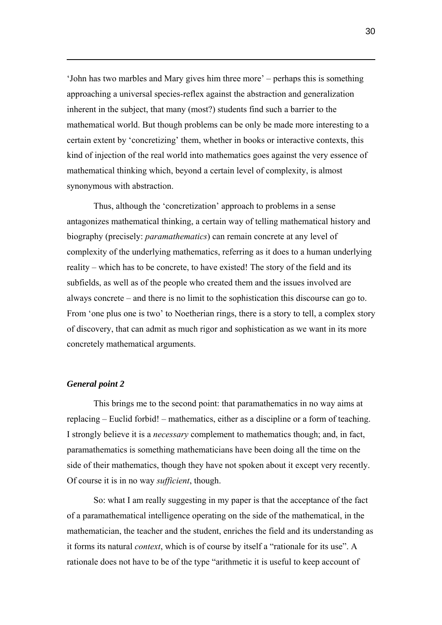'John has two marbles and Mary gives him three more' – perhaps this is something approaching a universal species-reflex against the abstraction and generalization inherent in the subject, that many (most?) students find such a barrier to the mathematical world. But though problems can be only be made more interesting to a certain extent by 'concretizing' them, whether in books or interactive contexts, this kind of injection of the real world into mathematics goes against the very essence of mathematical thinking which, beyond a certain level of complexity, is almost synonymous with abstraction.

Thus, although the 'concretization' approach to problems in a sense antagonizes mathematical thinking, a certain way of telling mathematical history and biography (precisely: *paramathematics*) can remain concrete at any level of complexity of the underlying mathematics, referring as it does to a human underlying reality – which has to be concrete, to have existed! The story of the field and its subfields, as well as of the people who created them and the issues involved are always concrete – and there is no limit to the sophistication this discourse can go to. From 'one plus one is two' to Noetherian rings, there is a story to tell, a complex story of discovery, that can admit as much rigor and sophistication as we want in its more concretely mathematical arguments.

#### *General point 2*

 $\overline{a}$ 

This brings me to the second point: that paramathematics in no way aims at replacing – Euclid forbid! – mathematics, either as a discipline or a form of teaching. I strongly believe it is a *necessary* complement to mathematics though; and, in fact, paramathematics is something mathematicians have been doing all the time on the side of their mathematics, though they have not spoken about it except very recently. Of course it is in no way *sufficient*, though.

So: what I am really suggesting in my paper is that the acceptance of the fact of a paramathematical intelligence operating on the side of the mathematical, in the mathematician, the teacher and the student, enriches the field and its understanding as it forms its natural *context*, which is of course by itself a "rationale for its use". A rationale does not have to be of the type "arithmetic it is useful to keep account of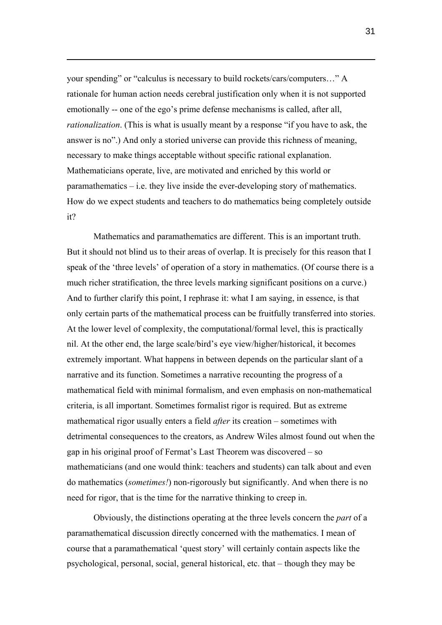your spending" or "calculus is necessary to build rockets/cars/computers…" A rationale for human action needs cerebral justification only when it is not supported emotionally -- one of the ego's prime defense mechanisms is called, after all, *rationalization*. (This is what is usually meant by a response "if you have to ask, the answer is no".) And only a storied universe can provide this richness of meaning, necessary to make things acceptable without specific rational explanation. Mathematicians operate, live, are motivated and enriched by this world or paramathematics – i.e. they live inside the ever-developing story of mathematics. How do we expect students and teachers to do mathematics being completely outside it?

 $\overline{a}$ 

Mathematics and paramathematics are different. This is an important truth. But it should not blind us to their areas of overlap. It is precisely for this reason that I speak of the 'three levels' of operation of a story in mathematics. (Of course there is a much richer stratification, the three levels marking significant positions on a curve.) And to further clarify this point, I rephrase it: what I am saying, in essence, is that only certain parts of the mathematical process can be fruitfully transferred into stories. At the lower level of complexity, the computational/formal level, this is practically nil. At the other end, the large scale/bird's eye view/higher/historical, it becomes extremely important. What happens in between depends on the particular slant of a narrative and its function. Sometimes a narrative recounting the progress of a mathematical field with minimal formalism, and even emphasis on non-mathematical criteria, is all important. Sometimes formalist rigor is required. But as extreme mathematical rigor usually enters a field *after* its creation – sometimes with detrimental consequences to the creators, as Andrew Wiles almost found out when the gap in his original proof of Fermat's Last Theorem was discovered – so mathematicians (and one would think: teachers and students) can talk about and even do mathematics (*sometimes!*) non-rigorously but significantly. And when there is no need for rigor, that is the time for the narrative thinking to creep in.

Obviously, the distinctions operating at the three levels concern the *part* of a paramathematical discussion directly concerned with the mathematics. I mean of course that a paramathematical 'quest story' will certainly contain aspects like the psychological, personal, social, general historical, etc. that – though they may be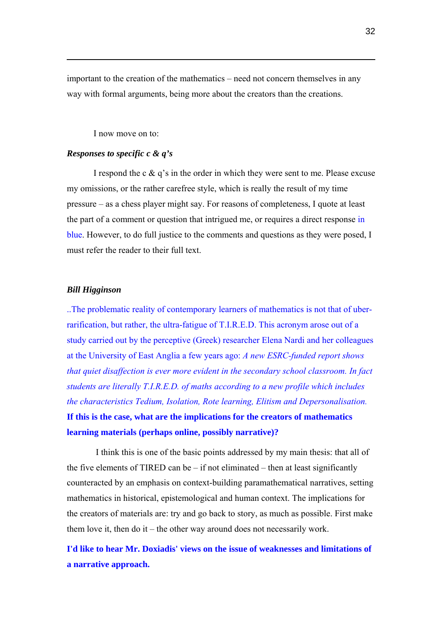important to the creation of the mathematics – need not concern themselves in any way with formal arguments, being more about the creators than the creations.

I now move on to:

#### *Responses to specific c & q's*

 $\overline{a}$ 

I respond the c  $\&$  q's in the order in which they were sent to me. Please excuse my omissions, or the rather carefree style, which is really the result of my time pressure – as a chess player might say. For reasons of completeness, I quote at least the part of a comment or question that intrigued me, or requires a direct response in blue. However, to do full justice to the comments and questions as they were posed, I must refer the reader to their full text.

#### *Bill Higginson*

..The problematic reality of contemporary learners of mathematics is not that of uberrarification, but rather, the ultra-fatigue of T.I.R.E.D. This acronym arose out of a study carried out by the perceptive (Greek) researcher Elena Nardi and her colleagues at the University of East Anglia a few years ago: *A new ESRC-funded report shows that quiet disaffection is ever more evident in the secondary school classroom. In fact students are literally T.I.R.E.D. of maths according to a new profile which includes the characteristics Tedium, Isolation, Rote learning, Elitism and Depersonalisation.* **If this is the case, what are the implications for the creators of mathematics learning materials (perhaps online, possibly narrative)?**

 I think this is one of the basic points addressed by my main thesis: that all of the five elements of TIRED can be  $-$  if not eliminated  $-$  then at least significantly counteracted by an emphasis on context-building paramathematical narratives, setting mathematics in historical, epistemological and human context. The implications for the creators of materials are: try and go back to story, as much as possible. First make them love it, then do it – the other way around does not necessarily work.

**I'd like to hear Mr. Doxiadis' views on the issue of weaknesses and limitations of a narrative approach.**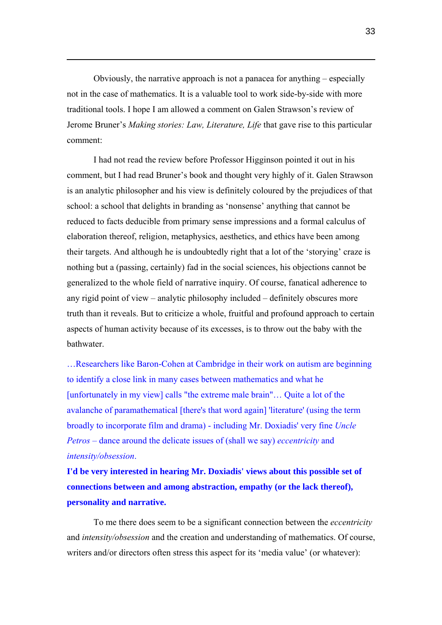Obviously, the narrative approach is not a panacea for anything – especially not in the case of mathematics. It is a valuable tool to work side-by-side with more traditional tools. I hope I am allowed a comment on Galen Strawson's review of Jerome Bruner's *Making stories: Law, Literature, Life* that gave rise to this particular comment:

 $\overline{a}$ 

I had not read the review before Professor Higginson pointed it out in his comment, but I had read Bruner's book and thought very highly of it. Galen Strawson is an analytic philosopher and his view is definitely coloured by the prejudices of that school: a school that delights in branding as 'nonsense' anything that cannot be reduced to facts deducible from primary sense impressions and a formal calculus of elaboration thereof, religion, metaphysics, aesthetics, and ethics have been among their targets. And although he is undoubtedly right that a lot of the 'storying' craze is nothing but a (passing, certainly) fad in the social sciences, his objections cannot be generalized to the whole field of narrative inquiry. Of course, fanatical adherence to any rigid point of view – analytic philosophy included – definitely obscures more truth than it reveals. But to criticize a whole, fruitful and profound approach to certain aspects of human activity because of its excesses, is to throw out the baby with the bathwater.

…Researchers like Baron-Cohen at Cambridge in their work on autism are beginning to identify a close link in many cases between mathematics and what he [unfortunately in my view] calls "the extreme male brain"... Quite a lot of the avalanche of paramathematical [there's that word again] 'literature' (using the term broadly to incorporate film and drama) - including Mr. Doxiadis' very fine *Uncle Petros* – dance around the delicate issues of (shall we say) *eccentricity* and *intensity/obsession*.

**I'd be very interested in hearing Mr. Doxiadis' views about this possible set of connections between and among abstraction, empathy (or the lack thereof), personality and narrative.**

To me there does seem to be a significant connection between the *eccentricity* and *intensity/obsession* and the creation and understanding of mathematics. Of course, writers and/or directors often stress this aspect for its 'media value' (or whatever):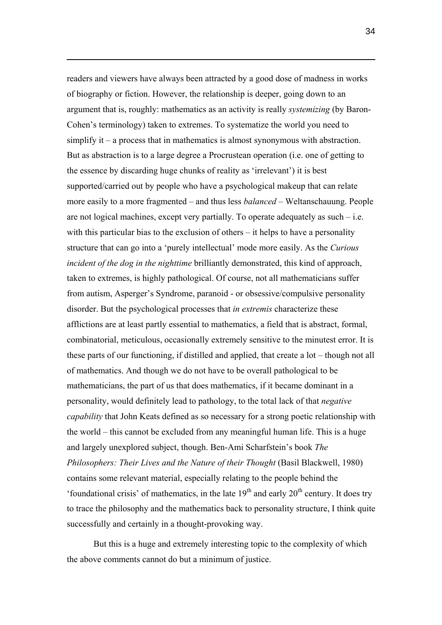readers and viewers have always been attracted by a good dose of madness in works of biography or fiction. However, the relationship is deeper, going down to an argument that is, roughly: mathematics as an activity is really *systemizing* (by Baron-Cohen's terminology) taken to extremes. To systematize the world you need to simplify it – a process that in mathematics is almost synonymous with abstraction. But as abstraction is to a large degree a Procrustean operation (i.e. one of getting to the essence by discarding huge chunks of reality as 'irrelevant') it is best supported/carried out by people who have a psychological makeup that can relate more easily to a more fragmented – and thus less *balanced* – Weltanschauung. People are not logical machines, except very partially. To operate adequately as such  $-i.e.$ with this particular bias to the exclusion of others – it helps to have a personality structure that can go into a 'purely intellectual' mode more easily. As the *Curious incident of the dog in the nighttime* brilliantly demonstrated, this kind of approach, taken to extremes, is highly pathological. Of course, not all mathematicians suffer from autism, Asperger's Syndrome, paranoid - or obsessive/compulsive personality disorder. But the psychological processes that *in extremis* characterize these afflictions are at least partly essential to mathematics, a field that is abstract, formal, combinatorial, meticulous, occasionally extremely sensitive to the minutest error. It is these parts of our functioning, if distilled and applied, that create a lot – though not all of mathematics. And though we do not have to be overall pathological to be mathematicians, the part of us that does mathematics, if it became dominant in a personality, would definitely lead to pathology, to the total lack of that *negative capability* that John Keats defined as so necessary for a strong poetic relationship with the world – this cannot be excluded from any meaningful human life. This is a huge and largely unexplored subject, though. Ben-Ami Scharfstein's book *The Philosophers: Their Lives and the Nature of their Thought* (Basil Blackwell, 1980) contains some relevant material, especially relating to the people behind the 'foundational crisis' of mathematics, in the late  $19<sup>th</sup>$  and early  $20<sup>th</sup>$  century. It does try to trace the philosophy and the mathematics back to personality structure, I think quite successfully and certainly in a thought-provoking way.

 $\overline{a}$ 

But this is a huge and extremely interesting topic to the complexity of which the above comments cannot do but a minimum of justice.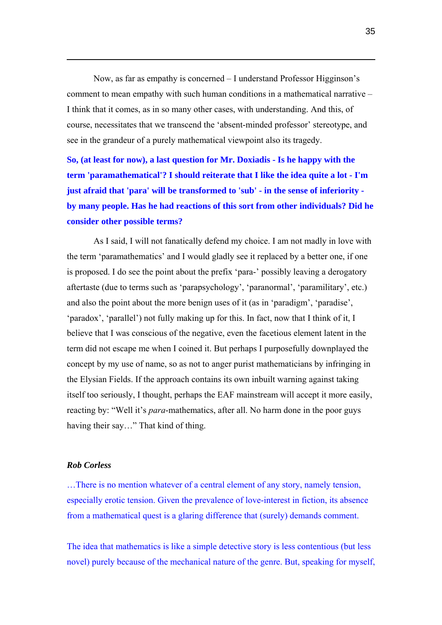Now, as far as empathy is concerned – I understand Professor Higginson's comment to mean empathy with such human conditions in a mathematical narrative – I think that it comes, as in so many other cases, with understanding. And this, of course, necessitates that we transcend the 'absent-minded professor' stereotype, and see in the grandeur of a purely mathematical viewpoint also its tragedy.

**So, (at least for now), a last question for Mr. Doxiadis - Is he happy with the term 'paramathematical'? I should reiterate that I like the idea quite a lot - I'm just afraid that 'para' will be transformed to 'sub' - in the sense of inferiority by many people. Has he had reactions of this sort from other individuals? Did he consider other possible terms?**

As I said, I will not fanatically defend my choice. I am not madly in love with the term 'paramathematics' and I would gladly see it replaced by a better one, if one is proposed. I do see the point about the prefix 'para-' possibly leaving a derogatory aftertaste (due to terms such as 'parapsychology', 'paranormal', 'paramilitary', etc.) and also the point about the more benign uses of it (as in 'paradigm', 'paradise', 'paradox', 'parallel') not fully making up for this. In fact, now that I think of it, I believe that I was conscious of the negative, even the facetious element latent in the term did not escape me when I coined it. But perhaps I purposefully downplayed the concept by my use of name, so as not to anger purist mathematicians by infringing in the Elysian Fields. If the approach contains its own inbuilt warning against taking itself too seriously, I thought, perhaps the EAF mainstream will accept it more easily, reacting by: "Well it's *para*-mathematics, after all. No harm done in the poor guys having their say…" That kind of thing.

#### *Rob Corless*

 $\overline{a}$ 

…There is no mention whatever of a central element of any story, namely tension, especially erotic tension. Given the prevalence of love-interest in fiction, its absence from a mathematical quest is a glaring difference that (surely) demands comment.

The idea that mathematics is like a simple detective story is less contentious (but less novel) purely because of the mechanical nature of the genre. But, speaking for myself,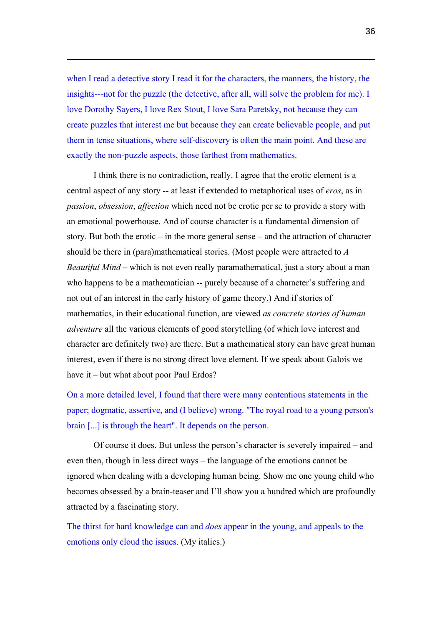when I read a detective story I read it for the characters, the manners, the history, the insights---not for the puzzle (the detective, after all, will solve the problem for me). I love Dorothy Sayers, I love Rex Stout, I love Sara Paretsky, not because they can create puzzles that interest me but because they can create believable people, and put them in tense situations, where self-discovery is often the main point. And these are exactly the non-puzzle aspects, those farthest from mathematics.

 $\overline{a}$ 

I think there is no contradiction, really. I agree that the erotic element is a central aspect of any story -- at least if extended to metaphorical uses of *eros*, as in *passion*, *obsession*, *affection* which need not be erotic per se to provide a story with an emotional powerhouse. And of course character is a fundamental dimension of story. But both the erotic – in the more general sense – and the attraction of character should be there in (para)mathematical stories. (Most people were attracted to *A Beautiful Mind* – which is not even really paramathematical, just a story about a man who happens to be a mathematician -- purely because of a character's suffering and not out of an interest in the early history of game theory.) And if stories of mathematics, in their educational function, are viewed *as concrete stories of human adventure* all the various elements of good storytelling (of which love interest and character are definitely two) are there. But a mathematical story can have great human interest, even if there is no strong direct love element. If we speak about Galois we have it – but what about poor Paul Erdos?

On a more detailed level, I found that there were many contentious statements in the paper; dogmatic, assertive, and (I believe) wrong. "The royal road to a young person's brain [...] is through the heart". It depends on the person.

Of course it does. But unless the person's character is severely impaired – and even then, though in less direct ways – the language of the emotions cannot be ignored when dealing with a developing human being. Show me one young child who becomes obsessed by a brain-teaser and I'll show you a hundred which are profoundly attracted by a fascinating story.

The thirst for hard knowledge can and *does* appear in the young, and appeals to the emotions only cloud the issues. (My italics.)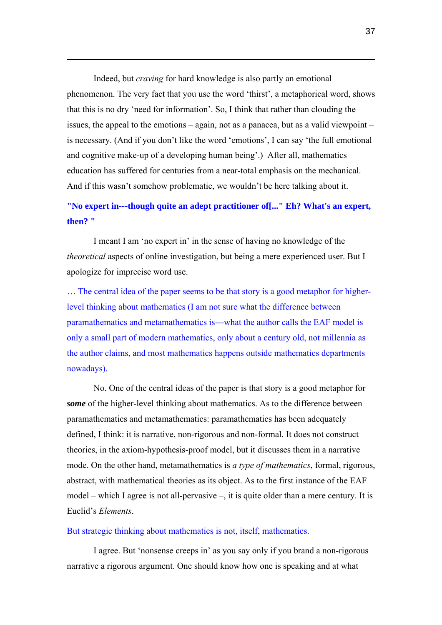Indeed, but *craving* for hard knowledge is also partly an emotional phenomenon. The very fact that you use the word 'thirst', a metaphorical word, shows that this is no dry 'need for information'. So, I think that rather than clouding the issues, the appeal to the emotions – again, not as a panacea, but as a valid viewpoint – is necessary. (And if you don't like the word 'emotions', I can say 'the full emotional and cognitive make-up of a developing human being'.) After all, mathematics education has suffered for centuries from a near-total emphasis on the mechanical. And if this wasn't somehow problematic, we wouldn't be here talking about it.

 $\overline{a}$ 

## **"No expert in---though quite an adept practitioner of[..." Eh? What's an expert, then? "**

I meant I am 'no expert in' in the sense of having no knowledge of the *theoretical* aspects of online investigation, but being a mere experienced user. But I apologize for imprecise word use.

… The central idea of the paper seems to be that story is a good metaphor for higherlevel thinking about mathematics (I am not sure what the difference between paramathematics and metamathematics is---what the author calls the EAF model is only a small part of modern mathematics, only about a century old, not millennia as the author claims, and most mathematics happens outside mathematics departments nowadays).

No. One of the central ideas of the paper is that story is a good metaphor for *some* of the higher-level thinking about mathematics. As to the difference between paramathematics and metamathematics: paramathematics has been adequately defined, I think: it is narrative, non-rigorous and non-formal. It does not construct theories, in the axiom-hypothesis-proof model, but it discusses them in a narrative mode. On the other hand, metamathematics is *a type of mathematics*, formal, rigorous, abstract, with mathematical theories as its object. As to the first instance of the EAF model – which I agree is not all-pervasive –, it is quite older than a mere century. It is Euclid's *Elements*.

#### But strategic thinking about mathematics is not, itself, mathematics.

I agree. But 'nonsense creeps in' as you say only if you brand a non-rigorous narrative a rigorous argument. One should know how one is speaking and at what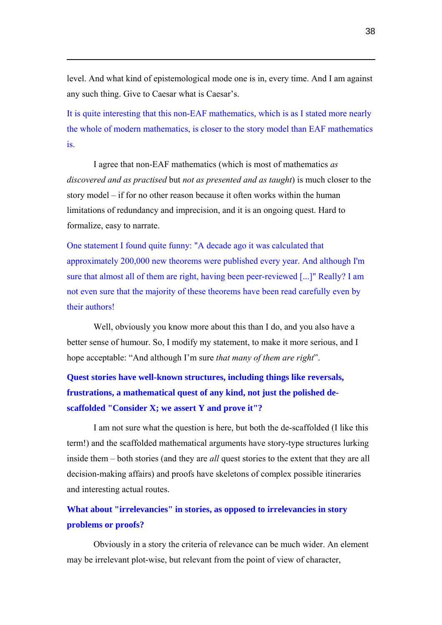level. And what kind of epistemological mode one is in, every time. And I am against any such thing. Give to Caesar what is Caesar's.

 $\overline{a}$ 

It is quite interesting that this non-EAF mathematics, which is as I stated more nearly the whole of modern mathematics, is closer to the story model than EAF mathematics is.

I agree that non-EAF mathematics (which is most of mathematics *as discovered and as practised* but *not as presented and as taught*) is much closer to the story model – if for no other reason because it often works within the human limitations of redundancy and imprecision, and it is an ongoing quest. Hard to formalize, easy to narrate.

One statement I found quite funny: "A decade ago it was calculated that approximately 200,000 new theorems were published every year. And although I'm sure that almost all of them are right, having been peer-reviewed [...]" Really? I am not even sure that the majority of these theorems have been read carefully even by their authors!

Well, obviously you know more about this than I do, and you also have a better sense of humour. So, I modify my statement, to make it more serious, and I hope acceptable: "And although I'm sure *that many of them are right*".

**Quest stories have well-known structures, including things like reversals, frustrations, a mathematical quest of any kind, not just the polished descaffolded "Consider X; we assert Y and prove it"?** 

I am not sure what the question is here, but both the de-scaffolded (I like this term!) and the scaffolded mathematical arguments have story-type structures lurking inside them – both stories (and they are *all* quest stories to the extent that they are all decision-making affairs) and proofs have skeletons of complex possible itineraries and interesting actual routes.

## **What about "irrelevancies" in stories, as opposed to irrelevancies in story problems or proofs?**

Obviously in a story the criteria of relevance can be much wider. An element may be irrelevant plot-wise, but relevant from the point of view of character,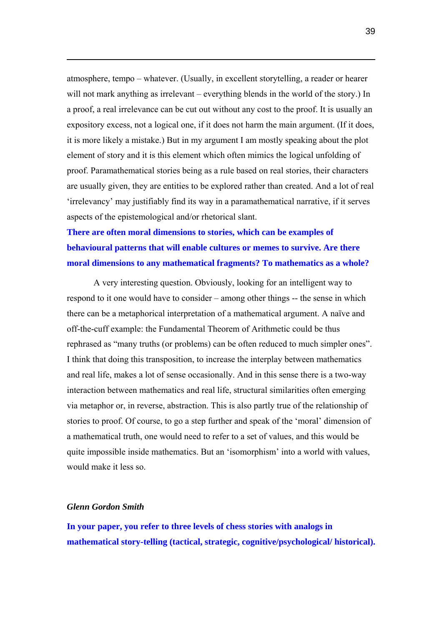atmosphere, tempo – whatever. (Usually, in excellent storytelling, a reader or hearer will not mark anything as irrelevant – everything blends in the world of the story.) In a proof, a real irrelevance can be cut out without any cost to the proof. It is usually an expository excess, not a logical one, if it does not harm the main argument. (If it does, it is more likely a mistake.) But in my argument I am mostly speaking about the plot element of story and it is this element which often mimics the logical unfolding of proof. Paramathematical stories being as a rule based on real stories, their characters are usually given, they are entities to be explored rather than created. And a lot of real 'irrelevancy' may justifiably find its way in a paramathematical narrative, if it serves aspects of the epistemological and/or rhetorical slant.

## **There are often moral dimensions to stories, which can be examples of behavioural patterns that will enable cultures or memes to survive. Are there moral dimensions to any mathematical fragments? To mathematics as a whole?**

A very interesting question. Obviously, looking for an intelligent way to respond to it one would have to consider – among other things -- the sense in which there can be a metaphorical interpretation of a mathematical argument. A naïve and off-the-cuff example: the Fundamental Theorem of Arithmetic could be thus rephrased as "many truths (or problems) can be often reduced to much simpler ones". I think that doing this transposition, to increase the interplay between mathematics and real life, makes a lot of sense occasionally. And in this sense there is a two-way interaction between mathematics and real life, structural similarities often emerging via metaphor or, in reverse, abstraction. This is also partly true of the relationship of stories to proof. Of course, to go a step further and speak of the 'moral' dimension of a mathematical truth, one would need to refer to a set of values, and this would be quite impossible inside mathematics. But an 'isomorphism' into a world with values, would make it less so.

#### *Glenn Gordon Smith*

 $\overline{a}$ 

**In your paper, you refer to three levels of chess stories with analogs in mathematical story-telling (tactical, strategic, cognitive/psychological/ historical).**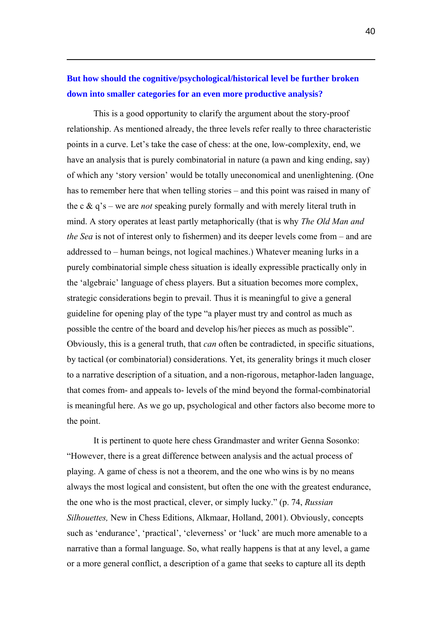## **But how should the cognitive/psychological/historical level be further broken down into smaller categories for an even more productive analysis?**

 $\overline{a}$ 

This is a good opportunity to clarify the argument about the story-proof relationship. As mentioned already, the three levels refer really to three characteristic points in a curve. Let's take the case of chess: at the one, low-complexity, end, we have an analysis that is purely combinatorial in nature (a pawn and king ending, say) of which any 'story version' would be totally uneconomical and unenlightening. (One has to remember here that when telling stories – and this point was raised in many of the c & q's – we are *not* speaking purely formally and with merely literal truth in mind. A story operates at least partly metaphorically (that is why *The Old Man and the Sea* is not of interest only to fishermen) and its deeper levels come from – and are addressed to – human beings, not logical machines.) Whatever meaning lurks in a purely combinatorial simple chess situation is ideally expressible practically only in the 'algebraic' language of chess players. But a situation becomes more complex, strategic considerations begin to prevail. Thus it is meaningful to give a general guideline for opening play of the type "a player must try and control as much as possible the centre of the board and develop his/her pieces as much as possible". Obviously, this is a general truth, that *can* often be contradicted, in specific situations, by tactical (or combinatorial) considerations. Yet, its generality brings it much closer to a narrative description of a situation, and a non-rigorous, metaphor-laden language, that comes from- and appeals to- levels of the mind beyond the formal-combinatorial is meaningful here. As we go up, psychological and other factors also become more to the point.

It is pertinent to quote here chess Grandmaster and writer Genna Sosonko: "However, there is a great difference between analysis and the actual process of playing. A game of chess is not a theorem, and the one who wins is by no means always the most logical and consistent, but often the one with the greatest endurance, the one who is the most practical, clever, or simply lucky." (p. 74, *Russian Silhouettes,* New in Chess Editions, Alkmaar, Holland, 2001). Obviously, concepts such as 'endurance', 'practical', 'cleverness' or 'luck' are much more amenable to a narrative than a formal language. So, what really happens is that at any level, a game or a more general conflict, a description of a game that seeks to capture all its depth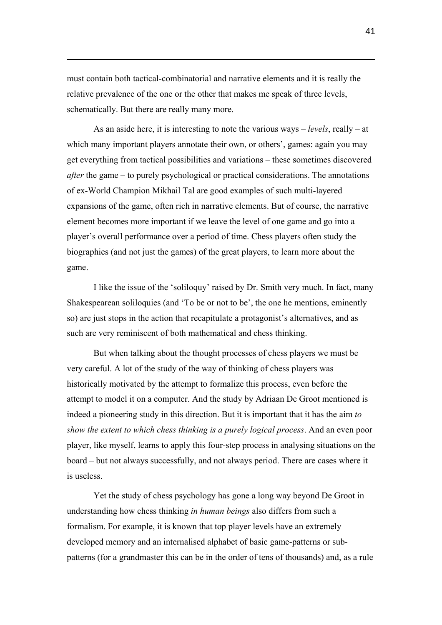must contain both tactical-combinatorial and narrative elements and it is really the relative prevalence of the one or the other that makes me speak of three levels, schematically. But there are really many more.

 $\overline{a}$ 

As an aside here, it is interesting to note the various ways – *levels*, really – at which many important players annotate their own, or others', games: again you may get everything from tactical possibilities and variations – these sometimes discovered *after* the game – to purely psychological or practical considerations. The annotations of ex-World Champion Mikhail Tal are good examples of such multi-layered expansions of the game, often rich in narrative elements. But of course, the narrative element becomes more important if we leave the level of one game and go into a player's overall performance over a period of time. Chess players often study the biographies (and not just the games) of the great players, to learn more about the game.

I like the issue of the 'soliloquy' raised by Dr. Smith very much. In fact, many Shakespearean soliloquies (and 'To be or not to be', the one he mentions, eminently so) are just stops in the action that recapitulate a protagonist's alternatives, and as such are very reminiscent of both mathematical and chess thinking.

But when talking about the thought processes of chess players we must be very careful. A lot of the study of the way of thinking of chess players was historically motivated by the attempt to formalize this process, even before the attempt to model it on a computer. And the study by Adriaan De Groot mentioned is indeed a pioneering study in this direction. But it is important that it has the aim *to show the extent to which chess thinking is a purely logical process*. And an even poor player, like myself, learns to apply this four-step process in analysing situations on the board – but not always successfully, and not always period. There are cases where it is useless.

Yet the study of chess psychology has gone a long way beyond De Groot in understanding how chess thinking *in human beings* also differs from such a formalism. For example, it is known that top player levels have an extremely developed memory and an internalised alphabet of basic game-patterns or subpatterns (for a grandmaster this can be in the order of tens of thousands) and, as a rule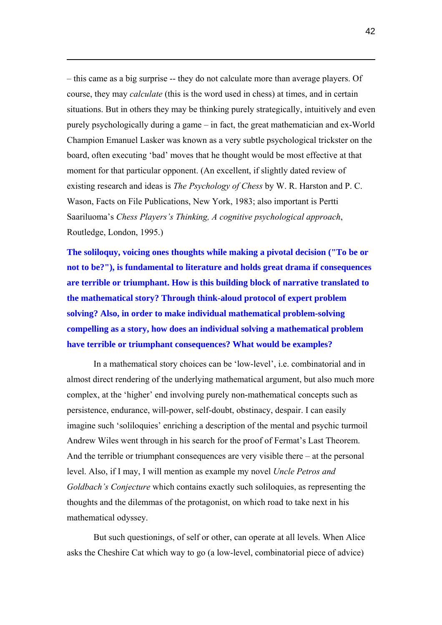– this came as a big surprise -- they do not calculate more than average players. Of course, they may *calculate* (this is the word used in chess) at times, and in certain situations. But in others they may be thinking purely strategically, intuitively and even purely psychologically during a game – in fact, the great mathematician and ex-World Champion Emanuel Lasker was known as a very subtle psychological trickster on the board, often executing 'bad' moves that he thought would be most effective at that moment for that particular opponent. (An excellent, if slightly dated review of existing research and ideas is *The Psychology of Chess* by W. R. Harston and P. C. Wason, Facts on File Publications, New York, 1983; also important is Pertti Saariluoma's *Chess Players's Thinking, A cognitive psychological approach*, Routledge, London, 1995.)

 $\overline{a}$ 

**The soliloquy, voicing ones thoughts while making a pivotal decision ("To be or not to be?"), is fundamental to literature and holds great drama if consequences are terrible or triumphant. How is this building block of narrative translated to the mathematical story? Through think-aloud protocol of expert problem solving? Also, in order to make individual mathematical problem-solving compelling as a story, how does an individual solving a mathematical problem have terrible or triumphant consequences? What would be examples?** 

In a mathematical story choices can be 'low-level', i.e. combinatorial and in almost direct rendering of the underlying mathematical argument, but also much more complex, at the 'higher' end involving purely non-mathematical concepts such as persistence, endurance, will-power, self-doubt, obstinacy, despair. I can easily imagine such 'soliloquies' enriching a description of the mental and psychic turmoil Andrew Wiles went through in his search for the proof of Fermat's Last Theorem. And the terrible or triumphant consequences are very visible there – at the personal level. Also, if I may, I will mention as example my novel *Uncle Petros and Goldbach's Conjecture* which contains exactly such soliloquies, as representing the thoughts and the dilemmas of the protagonist, on which road to take next in his mathematical odyssey.

But such questionings, of self or other, can operate at all levels. When Alice asks the Cheshire Cat which way to go (a low-level, combinatorial piece of advice)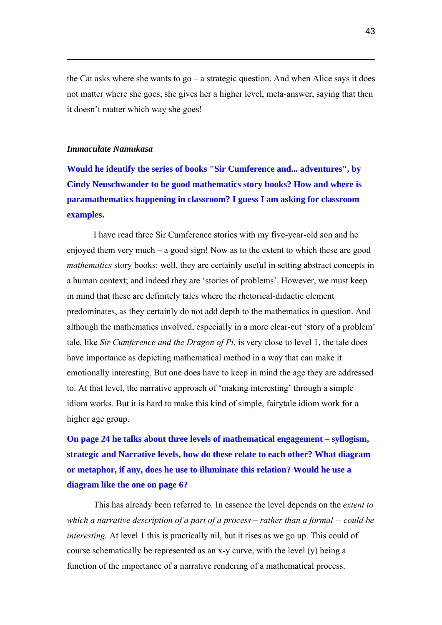the Cat asks where she wants to go – a strategic question. And when Alice says it does not matter where she goes, she gives her a higher level, meta-answer, saying that then it doesn't matter which way she goes!

#### *Immaculate Namukasa*

 $\overline{a}$ 

**Would he identify the series of books "Sir Cumference and... adventures", by Cindy Neuschwander to be good mathematics story books? How and where is paramathematics happening in classroom? I guess I am asking for classroom examples.**

I have read three Sir Cumference stories with my five-year-old son and he enjoyed them very much – a good sign! Now as to the extent to which these are good *mathematics* story books: well, they are certainly useful in setting abstract concepts in a human context; and indeed they are 'stories of problems'. However, we must keep in mind that these are definitely tales where the rhetorical-didactic element predominates, as they certainly do not add depth to the mathematics in question. And although the mathematics involved, especially in a more clear-cut 'story of a problem' tale, like *Sir Cumference and the Dragon of Pi,* is very close to level 1, the tale does have importance as depicting mathematical method in a way that can make it emotionally interesting. But one does have to keep in mind the age they are addressed to. At that level, the narrative approach of 'making interesting' through a simple idiom works. But it is hard to make this kind of simple, fairytale idiom work for a higher age group.

**On page 24 he talks about three levels of mathematical engagement – syllogism, strategic and Narrative levels, how do these relate to each other? What diagram or metaphor, if any, does he use to illuminate this relation? Would he use a diagram like the one on page 6?** 

This has already been referred to. In essence the level depends on the *extent to which a narrative description of a part of a process – rather than a formal -- could be interesting.* At level 1 this is practically nil, but it rises as we go up. This could of course schematically be represented as an x-y curve, with the level (y) being a function of the importance of a narrative rendering of a mathematical process.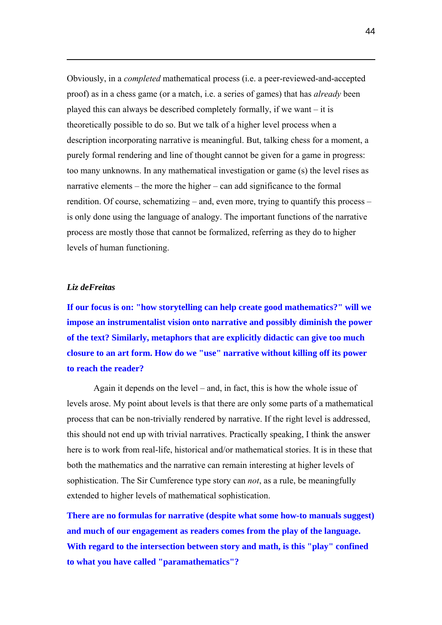Obviously, in a *completed* mathematical process (i.e. a peer-reviewed-and-accepted proof) as in a chess game (or a match, i.e. a series of games) that has *already* been played this can always be described completely formally, if we want – it is theoretically possible to do so. But we talk of a higher level process when a description incorporating narrative is meaningful. But, talking chess for a moment, a purely formal rendering and line of thought cannot be given for a game in progress: too many unknowns. In any mathematical investigation or game (s) the level rises as narrative elements – the more the higher – can add significance to the formal rendition. Of course, schematizing – and, even more, trying to quantify this process – is only done using the language of analogy. The important functions of the narrative process are mostly those that cannot be formalized, referring as they do to higher levels of human functioning.

#### *Liz deFreitas*

 $\overline{a}$ 

**If our focus is on: "how storytelling can help create good mathematics?" will we impose an instrumentalist vision onto narrative and possibly diminish the power of the text? Similarly, metaphors that are explicitly didactic can give too much closure to an art form. How do we "use" narrative without killing off its power to reach the reader?** 

Again it depends on the level – and, in fact, this is how the whole issue of levels arose. My point about levels is that there are only some parts of a mathematical process that can be non-trivially rendered by narrative. If the right level is addressed, this should not end up with trivial narratives. Practically speaking, I think the answer here is to work from real-life, historical and/or mathematical stories. It is in these that both the mathematics and the narrative can remain interesting at higher levels of sophistication. The Sir Cumference type story can *not*, as a rule, be meaningfully extended to higher levels of mathematical sophistication.

**There are no formulas for narrative (despite what some how-to manuals suggest) and much of our engagement as readers comes from the play of the language. With regard to the intersection between story and math, is this "play" confined to what you have called "paramathematics"?**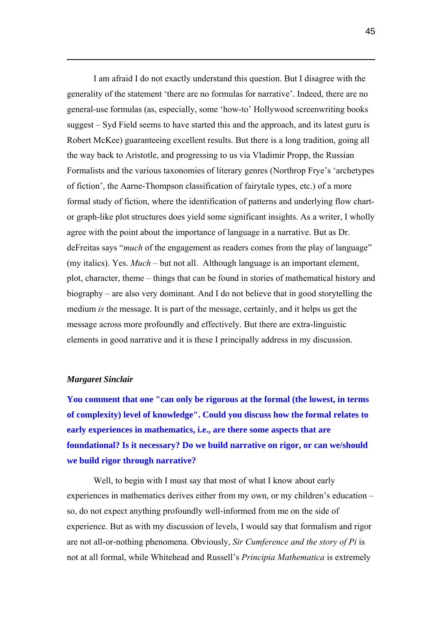I am afraid I do not exactly understand this question. But I disagree with the generality of the statement 'there are no formulas for narrative'. Indeed, there are no general-use formulas (as, especially, some 'how-to' Hollywood screenwriting books suggest – Syd Field seems to have started this and the approach, and its latest guru is Robert McKee) guaranteeing excellent results. But there is a long tradition, going all the way back to Aristotle, and progressing to us via Vladimir Propp, the Russian Formalists and the various taxonomies of literary genres (Northrop Frye's 'archetypes of fiction', the Aarne-Thompson classification of fairytale types, etc.) of a more formal study of fiction, where the identification of patterns and underlying flow chartor graph-like plot structures does yield some significant insights. As a writer, I wholly agree with the point about the importance of language in a narrative. But as Dr. deFreitas says "*much* of the engagement as readers comes from the play of language" (my italics). Yes. *Much* – but not all. Although language is an important element, plot, character, theme – things that can be found in stories of mathematical history and biography – are also very dominant. And I do not believe that in good storytelling the medium *is* the message. It is part of the message, certainly, and it helps us get the message across more profoundly and effectively. But there are extra-linguistic elements in good narrative and it is these I principally address in my discussion.

#### *Margaret Sinclair*

 $\overline{a}$ 

**You comment that one "can only be rigorous at the formal (the lowest, in terms of complexity) level of knowledge". Could you discuss how the formal relates to early experiences in mathematics, i.e., are there some aspects that are foundational? Is it necessary? Do we build narrative on rigor, or can we/should we build rigor through narrative?** 

Well, to begin with I must say that most of what I know about early experiences in mathematics derives either from my own, or my children's education – so, do not expect anything profoundly well-informed from me on the side of experience. But as with my discussion of levels, I would say that formalism and rigor are not all-or-nothing phenomena. Obviously, *Sir Cumference and the story of Pi* is not at all formal, while Whitehead and Russell's *Principia Mathematica* is extremely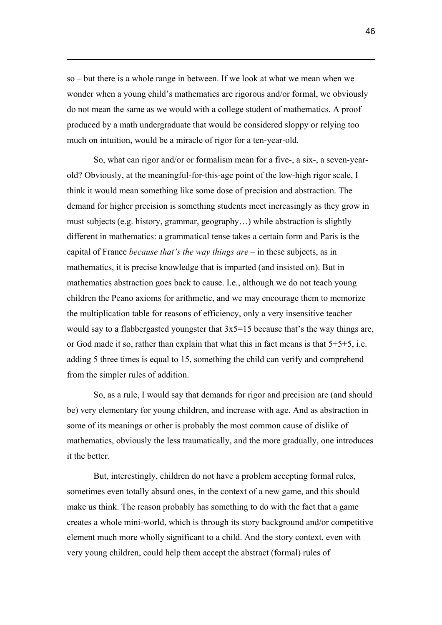so – but there is a whole range in between. If we look at what we mean when we wonder when a young child's mathematics are rigorous and/or formal, we obviously do not mean the same as we would with a college student of mathematics. A proof produced by a math undergraduate that would be considered sloppy or relying too much on intuition, would be a miracle of rigor for a ten-year-old.

 $\overline{a}$ 

So, what can rigor and/or or formalism mean for a five-, a six-, a seven-yearold? Obviously, at the meaningful-for-this-age point of the low-high rigor scale, I think it would mean something like some dose of precision and abstraction. The demand for higher precision is something students meet increasingly as they grow in must subjects (e.g. history, grammar, geography…) while abstraction is slightly different in mathematics: a grammatical tense takes a certain form and Paris is the capital of France *because that's the way things are* – in these subjects, as in mathematics, it is precise knowledge that is imparted (and insisted on). But in mathematics abstraction goes back to cause. I.e., although we do not teach young children the Peano axioms for arithmetic, and we may encourage them to memorize the multiplication table for reasons of efficiency, only a very insensitive teacher would say to a flabbergasted youngster that 3x5=15 because that's the way things are, or God made it so, rather than explain that what this in fact means is that 5+5+5, i.e. adding 5 three times is equal to 15, something the child can verify and comprehend from the simpler rules of addition.

So, as a rule, I would say that demands for rigor and precision are (and should be) very elementary for young children, and increase with age. And as abstraction in some of its meanings or other is probably the most common cause of dislike of mathematics, obviously the less traumatically, and the more gradually, one introduces it the better.

But, interestingly, children do not have a problem accepting formal rules, sometimes even totally absurd ones, in the context of a new game, and this should make us think. The reason probably has something to do with the fact that a game creates a whole mini-world, which is through its story background and/or competitive element much more wholly significant to a child. And the story context, even with very young children, could help them accept the abstract (formal) rules of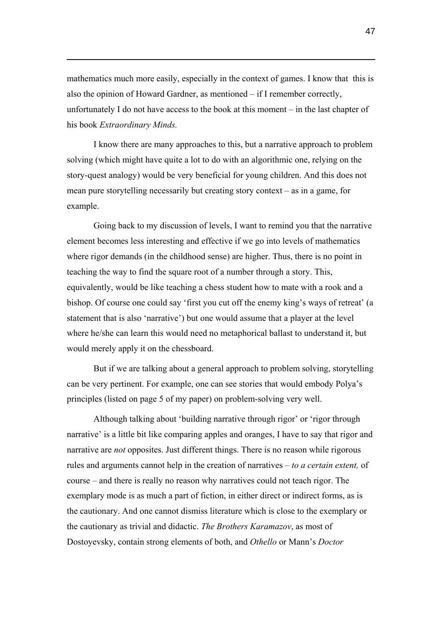mathematics much more easily, especially in the context of games. I know that this is also the opinion of Howard Gardner, as mentioned – if I remember correctly, unfortunately I do not have access to the book at this moment – in the last chapter of his book *Extraordinary Minds.*

 $\overline{a}$ 

I know there are many approaches to this, but a narrative approach to problem solving (which might have quite a lot to do with an algorithmic one, relying on the story-quest analogy) would be very beneficial for young children. And this does not mean pure storytelling necessarily but creating story context – as in a game, for example.

Going back to my discussion of levels, I want to remind you that the narrative element becomes less interesting and effective if we go into levels of mathematics where rigor demands (in the childhood sense) are higher. Thus, there is no point in teaching the way to find the square root of a number through a story. This, equivalently, would be like teaching a chess student how to mate with a rook and a bishop. Of course one could say 'first you cut off the enemy king's ways of retreat' (a statement that is also 'narrative') but one would assume that a player at the level where he/she can learn this would need no metaphorical ballast to understand it, but would merely apply it on the chessboard.

But if we are talking about a general approach to problem solving, storytelling can be very pertinent. For example, one can see stories that would embody Polya's principles (listed on page 5 of my paper) on problem-solving very well.

Although talking about 'building narrative through rigor' or 'rigor through narrative' is a little bit like comparing apples and oranges, I have to say that rigor and narrative are *not* opposites. Just different things. There is no reason while rigorous rules and arguments cannot help in the creation of narratives – *to a certain extent,* of course – and there is really no reason why narratives could not teach rigor. The exemplary mode is as much a part of fiction, in either direct or indirect forms, as is the cautionary. And one cannot dismiss literature which is close to the exemplary or the cautionary as trivial and didactic. *The Brothers Karamazov*, as most of Dostoyevsky, contain strong elements of both, and *Othello* or Mann's *Doctor*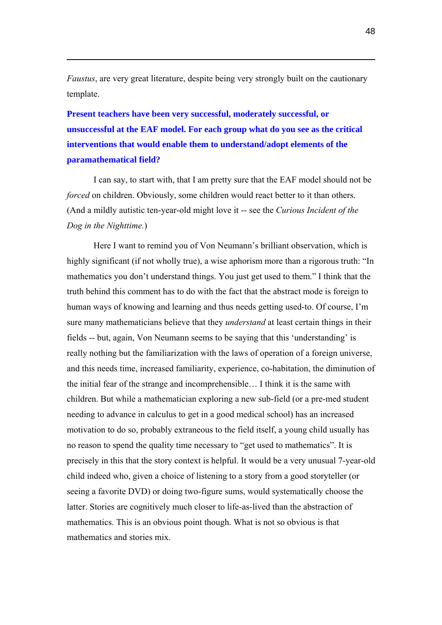*Faustus*, are very great literature, despite being very strongly built on the cautionary template.

 $\overline{a}$ 

**Present teachers have been very successful, moderately successful, or unsuccessful at the EAF model. For each group what do you see as the critical interventions that would enable them to understand/adopt elements of the paramathematical field?** 

I can say, to start with, that I am pretty sure that the EAF model should not be *forced* on children. Obviously, some children would react better to it than others. (And a mildly autistic ten-year-old might love it -- see the *Curious Incident of the Dog in the Nighttime.*)

Here I want to remind you of Von Neumann's brilliant observation, which is highly significant (if not wholly true), a wise aphorism more than a rigorous truth: "In mathematics you don't understand things. You just get used to them." I think that the truth behind this comment has to do with the fact that the abstract mode is foreign to human ways of knowing and learning and thus needs getting used-to. Of course, I'm sure many mathematicians believe that they *understand* at least certain things in their fields -- but, again, Von Neumann seems to be saying that this 'understanding' is really nothing but the familiarization with the laws of operation of a foreign universe, and this needs time, increased familiarity, experience, co-habitation, the diminution of the initial fear of the strange and incomprehensible… I think it is the same with children. But while a mathematician exploring a new sub-field (or a pre-med student needing to advance in calculus to get in a good medical school) has an increased motivation to do so, probably extraneous to the field itself, a young child usually has no reason to spend the quality time necessary to "get used to mathematics". It is precisely in this that the story context is helpful. It would be a very unusual 7-year-old child indeed who, given a choice of listening to a story from a good storyteller (or seeing a favorite DVD) or doing two-figure sums, would systematically choose the latter. Stories are cognitively much closer to life-as-lived than the abstraction of mathematics. This is an obvious point though. What is not so obvious is that mathematics and stories mix.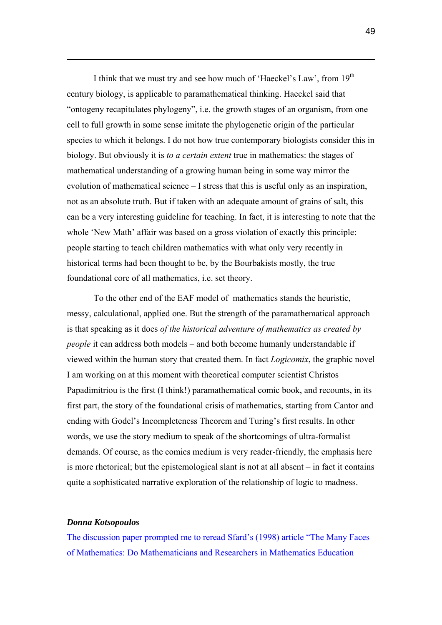I think that we must try and see how much of 'Haeckel's Law', from  $19<sup>th</sup>$ century biology, is applicable to paramathematical thinking. Haeckel said that "ontogeny recapitulates phylogeny", i.e. the growth stages of an organism, from one cell to full growth in some sense imitate the phylogenetic origin of the particular species to which it belongs. I do not how true contemporary biologists consider this in biology. But obviously it is *to a certain extent* true in mathematics: the stages of mathematical understanding of a growing human being in some way mirror the evolution of mathematical science  $-I$  stress that this is useful only as an inspiration, not as an absolute truth. But if taken with an adequate amount of grains of salt, this can be a very interesting guideline for teaching. In fact, it is interesting to note that the whole 'New Math' affair was based on a gross violation of exactly this principle: people starting to teach children mathematics with what only very recently in historical terms had been thought to be, by the Bourbakists mostly, the true foundational core of all mathematics, i.e. set theory.

To the other end of the EAF model of mathematics stands the heuristic, messy, calculational, applied one. But the strength of the paramathematical approach is that speaking as it does *of the historical adventure of mathematics as created by people* it can address both models – and both become humanly understandable if viewed within the human story that created them. In fact *Logicomix*, the graphic novel I am working on at this moment with theoretical computer scientist Christos Papadimitriou is the first (I think!) paramathematical comic book, and recounts, in its first part, the story of the foundational crisis of mathematics, starting from Cantor and ending with Godel's Incompleteness Theorem and Turing's first results. In other words, we use the story medium to speak of the shortcomings of ultra-formalist demands. Of course, as the comics medium is very reader-friendly, the emphasis here is more rhetorical; but the epistemological slant is not at all absent – in fact it contains quite a sophisticated narrative exploration of the relationship of logic to madness.

#### *Donna Kotsopoulos*

 $\overline{a}$ 

The discussion paper prompted me to reread Sfard's (1998) article "The Many Faces of Mathematics: Do Mathematicians and Researchers in Mathematics Education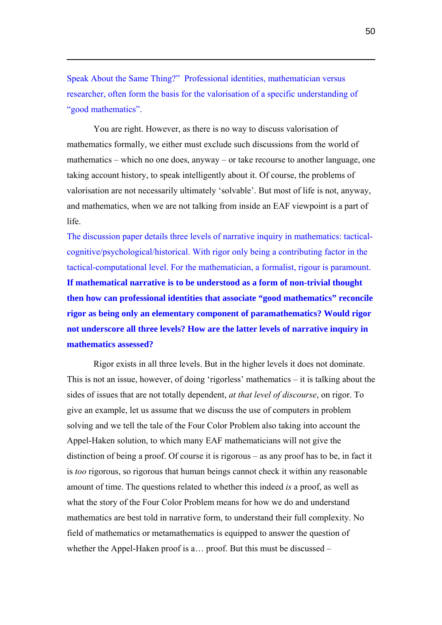Speak About the Same Thing?" Professional identities, mathematician versus researcher, often form the basis for the valorisation of a specific understanding of "good mathematics".

 $\overline{a}$ 

You are right. However, as there is no way to discuss valorisation of mathematics formally, we either must exclude such discussions from the world of mathematics – which no one does, anyway – or take recourse to another language, one taking account history, to speak intelligently about it. Of course, the problems of valorisation are not necessarily ultimately 'solvable'. But most of life is not, anyway, and mathematics, when we are not talking from inside an EAF viewpoint is a part of life.

The discussion paper details three levels of narrative inquiry in mathematics: tacticalcognitive/psychological/historical. With rigor only being a contributing factor in the tactical-computational level. For the mathematician, a formalist, rigour is paramount. **If mathematical narrative is to be understood as a form of non-trivial thought then how can professional identities that associate "good mathematics" reconcile rigor as being only an elementary component of paramathematics? Would rigor not underscore all three levels? How are the latter levels of narrative inquiry in mathematics assessed?** 

Rigor exists in all three levels. But in the higher levels it does not dominate. This is not an issue, however, of doing 'rigorless' mathematics  $-$  it is talking about the sides of issues that are not totally dependent, *at that level of discourse*, on rigor. To give an example, let us assume that we discuss the use of computers in problem solving and we tell the tale of the Four Color Problem also taking into account the Appel-Haken solution, to which many EAF mathematicians will not give the distinction of being a proof. Of course it is rigorous – as any proof has to be, in fact it is *too* rigorous, so rigorous that human beings cannot check it within any reasonable amount of time. The questions related to whether this indeed *is* a proof, as well as what the story of the Four Color Problem means for how we do and understand mathematics are best told in narrative form, to understand their full complexity. No field of mathematics or metamathematics is equipped to answer the question of whether the Appel-Haken proof is a… proof. But this must be discussed –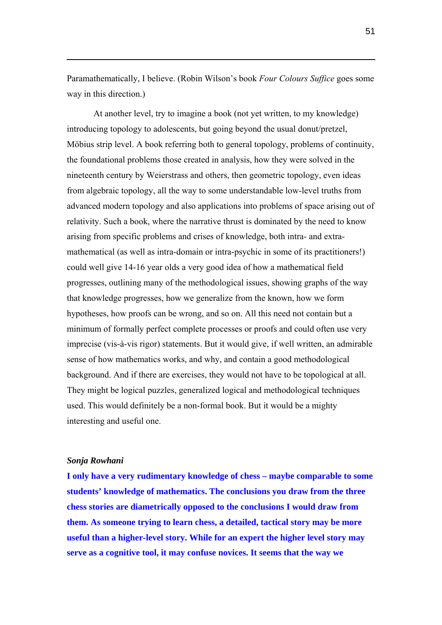Paramathematically, I believe. (Robin Wilson's book *Four Colours Suffice* goes some way in this direction.)

At another level, try to imagine a book (not yet written, to my knowledge) introducing topology to adolescents, but going beyond the usual donut/pretzel, Möbius strip level. A book referring both to general topology, problems of continuity, the foundational problems those created in analysis, how they were solved in the nineteenth century by Weierstrass and others, then geometric topology, even ideas from algebraic topology, all the way to some understandable low-level truths from advanced modern topology and also applications into problems of space arising out of relativity. Such a book, where the narrative thrust is dominated by the need to know arising from specific problems and crises of knowledge, both intra- and extramathematical (as well as intra-domain or intra-psychic in some of its practitioners!) could well give 14-16 year olds a very good idea of how a mathematical field progresses, outlining many of the methodological issues, showing graphs of the way that knowledge progresses, how we generalize from the known, how we form hypotheses, how proofs can be wrong, and so on. All this need not contain but a minimum of formally perfect complete processes or proofs and could often use very imprecise (vis-à-vis rigor) statements. But it would give, if well written, an admirable sense of how mathematics works, and why, and contain a good methodological background. And if there are exercises, they would not have to be topological at all. They might be logical puzzles, generalized logical and methodological techniques used. This would definitely be a non-formal book. But it would be a mighty interesting and useful one.

#### *Sonja Rowhani*

 $\overline{a}$ 

**I only have a very rudimentary knowledge of chess – maybe comparable to some students' knowledge of mathematics. The conclusions you draw from the three chess stories are diametrically opposed to the conclusions I would draw from them. As someone trying to learn chess, a detailed, tactical story may be more useful than a higher-level story. While for an expert the higher level story may serve as a cognitive tool, it may confuse novices. It seems that the way we**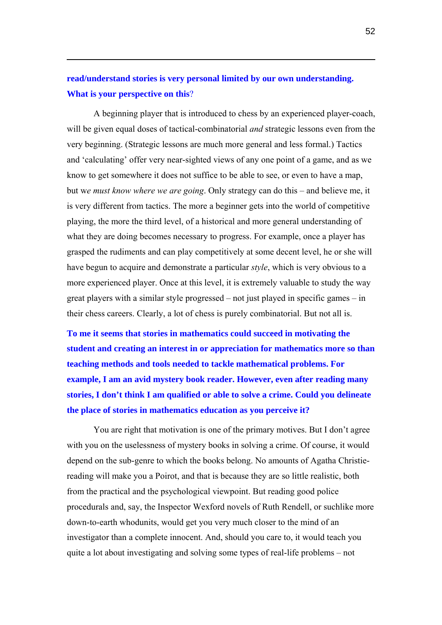## **read/understand stories is very personal limited by our own understanding. What is your perspective on this**?

 $\overline{a}$ 

A beginning player that is introduced to chess by an experienced player-coach, will be given equal doses of tactical-combinatorial *and* strategic lessons even from the very beginning. (Strategic lessons are much more general and less formal.) Tactics and 'calculating' offer very near-sighted views of any one point of a game, and as we know to get somewhere it does not suffice to be able to see, or even to have a map, but w*e must know where we are going*. Only strategy can do this – and believe me, it is very different from tactics. The more a beginner gets into the world of competitive playing, the more the third level, of a historical and more general understanding of what they are doing becomes necessary to progress. For example, once a player has grasped the rudiments and can play competitively at some decent level, he or she will have begun to acquire and demonstrate a particular *style*, which is very obvious to a more experienced player. Once at this level, it is extremely valuable to study the way great players with a similar style progressed – not just played in specific games – in their chess careers. Clearly, a lot of chess is purely combinatorial. But not all is.

**To me it seems that stories in mathematics could succeed in motivating the student and creating an interest in or appreciation for mathematics more so than teaching methods and tools needed to tackle mathematical problems. For example, I am an avid mystery book reader. However, even after reading many stories, I don't think I am qualified or able to solve a crime. Could you delineate the place of stories in mathematics education as you perceive it?** 

You are right that motivation is one of the primary motives. But I don't agree with you on the uselessness of mystery books in solving a crime. Of course, it would depend on the sub-genre to which the books belong. No amounts of Agatha Christiereading will make you a Poirot, and that is because they are so little realistic, both from the practical and the psychological viewpoint. But reading good police procedurals and, say, the Inspector Wexford novels of Ruth Rendell, or suchlike more down-to-earth whodunits, would get you very much closer to the mind of an investigator than a complete innocent. And, should you care to, it would teach you quite a lot about investigating and solving some types of real-life problems – not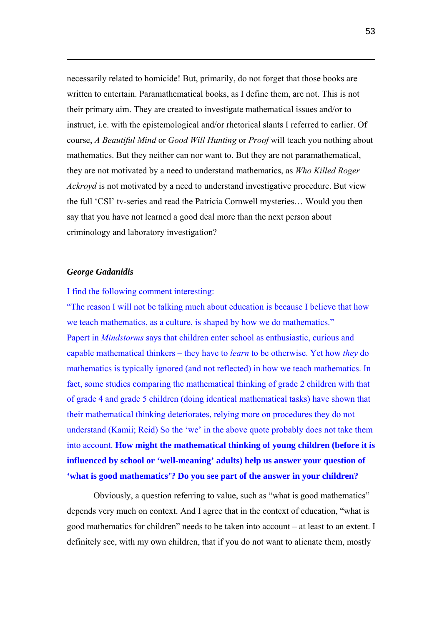necessarily related to homicide! But, primarily, do not forget that those books are written to entertain. Paramathematical books, as I define them, are not. This is not their primary aim. They are created to investigate mathematical issues and/or to instruct, i.e. with the epistemological and/or rhetorical slants I referred to earlier. Of course, *A Beautiful Mind* or *Good Will Hunting* or *Proof* will teach you nothing about mathematics. But they neither can nor want to. But they are not paramathematical, they are not motivated by a need to understand mathematics, as *Who Killed Roger Ackroyd* is not motivated by a need to understand investigative procedure. But view the full 'CSI' tv-series and read the Patricia Cornwell mysteries… Would you then say that you have not learned a good deal more than the next person about criminology and laboratory investigation?

#### *George Gadanidis*

 $\overline{a}$ 

#### I find the following comment interesting:

"The reason I will not be talking much about education is because I believe that how we teach mathematics, as a culture, is shaped by how we do mathematics." Papert in *Mindstorms* says that children enter school as enthusiastic, curious and capable mathematical thinkers – they have to *learn* to be otherwise. Yet how *they* do mathematics is typically ignored (and not reflected) in how we teach mathematics. In fact, some studies comparing the mathematical thinking of grade 2 children with that of grade 4 and grade 5 children (doing identical mathematical tasks) have shown that their mathematical thinking deteriorates, relying more on procedures they do not understand (Kamii; Reid) So the 'we' in the above quote probably does not take them into account. **How might the mathematical thinking of young children (before it is influenced by school or 'well-meaning' adults) help us answer your question of 'what is good mathematics'? Do you see part of the answer in your children?** 

Obviously, a question referring to value, such as "what is good mathematics" depends very much on context. And I agree that in the context of education, "what is good mathematics for children" needs to be taken into account – at least to an extent. I definitely see, with my own children, that if you do not want to alienate them, mostly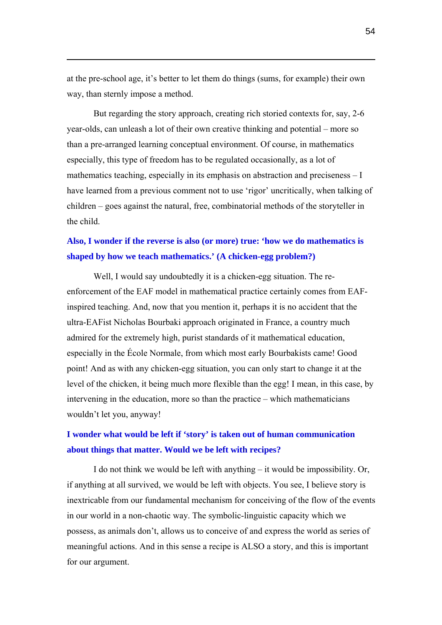at the pre-school age, it's better to let them do things (sums, for example) their own way, than sternly impose a method.

 $\overline{a}$ 

But regarding the story approach, creating rich storied contexts for, say, 2-6 year-olds, can unleash a lot of their own creative thinking and potential – more so than a pre-arranged learning conceptual environment. Of course, in mathematics especially, this type of freedom has to be regulated occasionally, as a lot of mathematics teaching, especially in its emphasis on abstraction and preciseness – I have learned from a previous comment not to use 'rigor' uncritically, when talking of children – goes against the natural, free, combinatorial methods of the storyteller in the child.

## **Also, I wonder if the reverse is also (or more) true: 'how we do mathematics is shaped by how we teach mathematics.' (A chicken-egg problem?)**

Well, I would say undoubtedly it is a chicken-egg situation. The reenforcement of the EAF model in mathematical practice certainly comes from EAFinspired teaching. And, now that you mention it, perhaps it is no accident that the ultra-EAFist Nicholas Bourbaki approach originated in France, a country much admired for the extremely high, purist standards of it mathematical education, especially in the École Normale, from which most early Bourbakists came! Good point! And as with any chicken-egg situation, you can only start to change it at the level of the chicken, it being much more flexible than the egg! I mean, in this case, by intervening in the education, more so than the practice – which mathematicians wouldn't let you, anyway!

### **I wonder what would be left if 'story' is taken out of human communication about things that matter. Would we be left with recipes?**

I do not think we would be left with anything – it would be impossibility. Or, if anything at all survived, we would be left with objects. You see, I believe story is inextricable from our fundamental mechanism for conceiving of the flow of the events in our world in a non-chaotic way. The symbolic-linguistic capacity which we possess, as animals don't, allows us to conceive of and express the world as series of meaningful actions. And in this sense a recipe is ALSO a story, and this is important for our argument.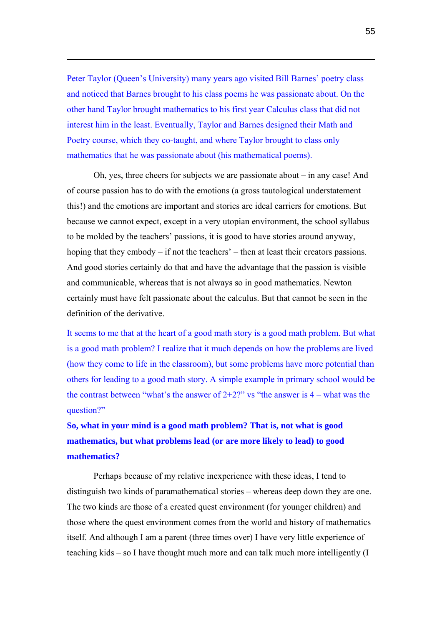Peter Taylor (Queen's University) many years ago visited Bill Barnes' poetry class and noticed that Barnes brought to his class poems he was passionate about. On the other hand Taylor brought mathematics to his first year Calculus class that did not interest him in the least. Eventually, Taylor and Barnes designed their Math and Poetry course, which they co-taught, and where Taylor brought to class only mathematics that he was passionate about (his mathematical poems).

 $\overline{a}$ 

Oh, yes, three cheers for subjects we are passionate about – in any case! And of course passion has to do with the emotions (a gross tautological understatement this!) and the emotions are important and stories are ideal carriers for emotions. But because we cannot expect, except in a very utopian environment, the school syllabus to be molded by the teachers' passions, it is good to have stories around anyway, hoping that they embody – if not the teachers' – then at least their creators passions. And good stories certainly do that and have the advantage that the passion is visible and communicable, whereas that is not always so in good mathematics. Newton certainly must have felt passionate about the calculus. But that cannot be seen in the definition of the derivative.

It seems to me that at the heart of a good math story is a good math problem. But what is a good math problem? I realize that it much depends on how the problems are lived (how they come to life in the classroom), but some problems have more potential than others for leading to a good math story. A simple example in primary school would be the contrast between "what's the answer of  $2+2$ ?" vs "the answer is  $4$  – what was the question?"

## **So, what in your mind is a good math problem? That is, not what is good mathematics, but what problems lead (or are more likely to lead) to good mathematics?**

Perhaps because of my relative inexperience with these ideas, I tend to distinguish two kinds of paramathematical stories – whereas deep down they are one. The two kinds are those of a created quest environment (for younger children) and those where the quest environment comes from the world and history of mathematics itself. And although I am a parent (three times over) I have very little experience of teaching kids – so I have thought much more and can talk much more intelligently (I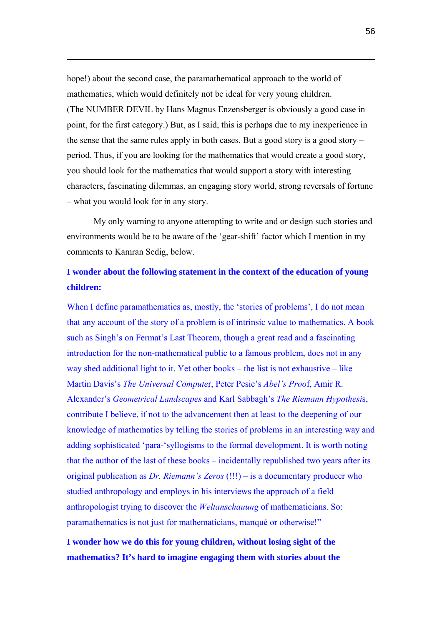hope!) about the second case, the paramathematical approach to the world of mathematics, which would definitely not be ideal for very young children. (The NUMBER DEVIL by Hans Magnus Enzensberger is obviously a good case in point, for the first category.) But, as I said, this is perhaps due to my inexperience in the sense that the same rules apply in both cases. But a good story is a good story  $$ period. Thus, if you are looking for the mathematics that would create a good story, you should look for the mathematics that would support a story with interesting characters, fascinating dilemmas, an engaging story world, strong reversals of fortune – what you would look for in any story.

 $\overline{a}$ 

My only warning to anyone attempting to write and or design such stories and environments would be to be aware of the 'gear-shift' factor which I mention in my comments to Kamran Sedig, below.

## **I wonder about the following statement in the context of the education of young children:**

When I define paramathematics as, mostly, the 'stories of problems', I do not mean that any account of the story of a problem is of intrinsic value to mathematics. A book such as Singh's on Fermat's Last Theorem, though a great read and a fascinating introduction for the non-mathematical public to a famous problem, does not in any way shed additional light to it. Yet other books – the list is not exhaustive – like Martin Davis's *The Universal Compute*r, Peter Pesic's *Abel's Proo*f, Amir R. Alexander's *Geometrical Landscapes* and Karl Sabbagh's *The Riemann Hypothesi*s, contribute I believe, if not to the advancement then at least to the deepening of our knowledge of mathematics by telling the stories of problems in an interesting way and adding sophisticated 'para-'syllogisms to the formal development. It is worth noting that the author of the last of these books – incidentally republished two years after its original publication as *Dr. Riemann's Zeros* (!!!) – is a documentary producer who studied anthropology and employs in his interviews the approach of a field anthropologist trying to discover the *Weltanschauung* of mathematicians. So: paramathematics is not just for mathematicians, manqué or otherwise!"

**I wonder how we do this for young children, without losing sight of the mathematics? It's hard to imagine engaging them with stories about the**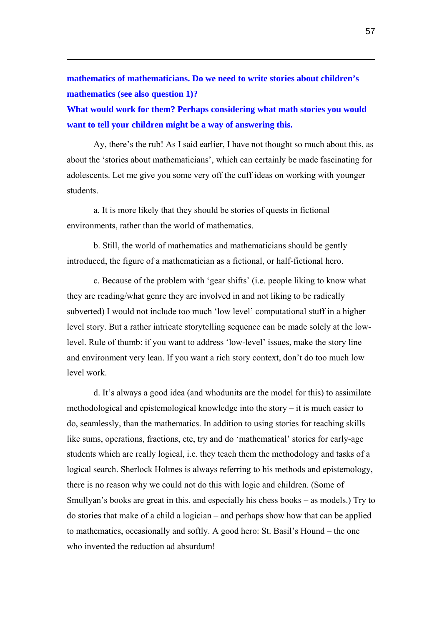**mathematics of mathematicians. Do we need to write stories about children's mathematics (see also question 1)?** 

 $\overline{a}$ 

**What would work for them? Perhaps considering what math stories you would want to tell your children might be a way of answering this.** 

Ay, there's the rub! As I said earlier, I have not thought so much about this, as about the 'stories about mathematicians', which can certainly be made fascinating for adolescents. Let me give you some very off the cuff ideas on working with younger students.

a. It is more likely that they should be stories of quests in fictional environments, rather than the world of mathematics.

b. Still, the world of mathematics and mathematicians should be gently introduced, the figure of a mathematician as a fictional, or half-fictional hero.

c. Because of the problem with 'gear shifts' (i.e. people liking to know what they are reading/what genre they are involved in and not liking to be radically subverted) I would not include too much 'low level' computational stuff in a higher level story. But a rather intricate storytelling sequence can be made solely at the lowlevel. Rule of thumb: if you want to address 'low-level' issues, make the story line and environment very lean. If you want a rich story context, don't do too much low level work.

d. It's always a good idea (and whodunits are the model for this) to assimilate methodological and epistemological knowledge into the story – it is much easier to do, seamlessly, than the mathematics. In addition to using stories for teaching skills like sums, operations, fractions, etc, try and do 'mathematical' stories for early-age students which are really logical, i.e. they teach them the methodology and tasks of a logical search. Sherlock Holmes is always referring to his methods and epistemology, there is no reason why we could not do this with logic and children. (Some of Smullyan's books are great in this, and especially his chess books – as models.) Try to do stories that make of a child a logician – and perhaps show how that can be applied to mathematics, occasionally and softly. A good hero: St. Basil's Hound – the one who invented the reduction ad absurdum!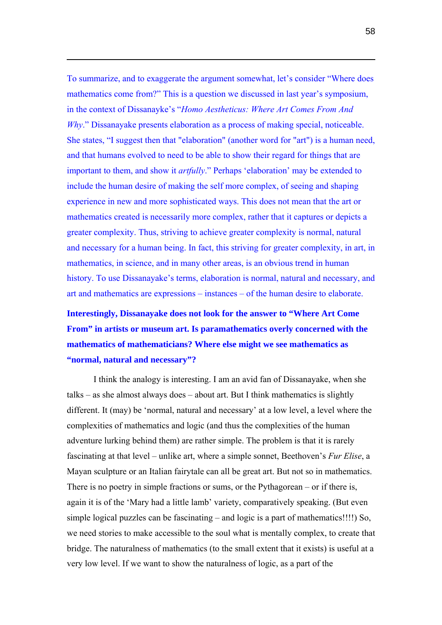To summarize, and to exaggerate the argument somewhat, let's consider "Where does mathematics come from?" This is a question we discussed in last year's symposium, in the context of Dissanayke's "*Homo Aestheticus: Where Art Comes From And Why*." Dissanayake presents elaboration as a process of making special, noticeable. She states, "I suggest then that "elaboration" (another word for "art") is a human need, and that humans evolved to need to be able to show their regard for things that are important to them, and show it *artfully*." Perhaps 'elaboration' may be extended to include the human desire of making the self more complex, of seeing and shaping experience in new and more sophisticated ways. This does not mean that the art or mathematics created is necessarily more complex, rather that it captures or depicts a greater complexity. Thus, striving to achieve greater complexity is normal, natural and necessary for a human being. In fact, this striving for greater complexity, in art, in mathematics, in science, and in many other areas, is an obvious trend in human history. To use Dissanayake's terms, elaboration is normal, natural and necessary, and art and mathematics are expressions – instances – of the human desire to elaborate.

 $\overline{a}$ 

**Interestingly, Dissanayake does not look for the answer to "Where Art Come From" in artists or museum art. Is paramathematics overly concerned with the mathematics of mathematicians? Where else might we see mathematics as "normal, natural and necessary"?** 

I think the analogy is interesting. I am an avid fan of Dissanayake, when she talks – as she almost always does – about art. But I think mathematics is slightly different. It (may) be 'normal, natural and necessary' at a low level, a level where the complexities of mathematics and logic (and thus the complexities of the human adventure lurking behind them) are rather simple. The problem is that it is rarely fascinating at that level – unlike art, where a simple sonnet, Beethoven's *Fur Elise*, a Mayan sculpture or an Italian fairytale can all be great art. But not so in mathematics. There is no poetry in simple fractions or sums, or the Pythagorean – or if there is, again it is of the 'Mary had a little lamb' variety, comparatively speaking. (But even simple logical puzzles can be fascinating – and logic is a part of mathematics!!!!) So, we need stories to make accessible to the soul what is mentally complex, to create that bridge. The naturalness of mathematics (to the small extent that it exists) is useful at a very low level. If we want to show the naturalness of logic, as a part of the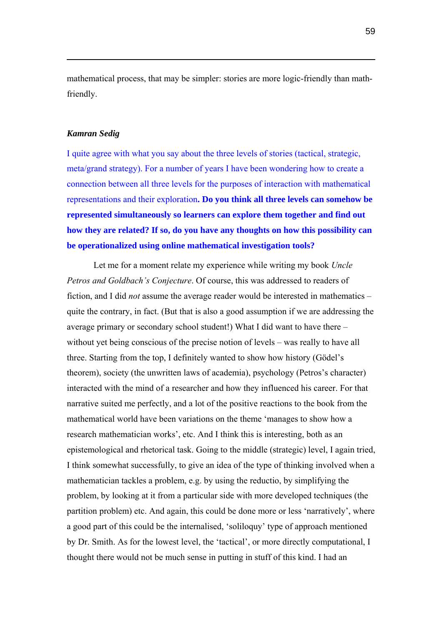mathematical process, that may be simpler: stories are more logic-friendly than mathfriendly.

#### *Kamran Sedig*

 $\overline{a}$ 

I quite agree with what you say about the three levels of stories (tactical, strategic, meta/grand strategy). For a number of years I have been wondering how to create a connection between all three levels for the purposes of interaction with mathematical representations and their exploration**. Do you think all three levels can somehow be represented simultaneously so learners can explore them together and find out how they are related? If so, do you have any thoughts on how this possibility can be operationalized using online mathematical investigation tools?**

Let me for a moment relate my experience while writing my book *Uncle Petros and Goldbach's Conjecture*. Of course, this was addressed to readers of fiction, and I did *not* assume the average reader would be interested in mathematics – quite the contrary, in fact. (But that is also a good assumption if we are addressing the average primary or secondary school student!) What I did want to have there – without yet being conscious of the precise notion of levels – was really to have all three. Starting from the top, I definitely wanted to show how history (Gödel's theorem), society (the unwritten laws of academia), psychology (Petros's character) interacted with the mind of a researcher and how they influenced his career. For that narrative suited me perfectly, and a lot of the positive reactions to the book from the mathematical world have been variations on the theme 'manages to show how a research mathematician works', etc. And I think this is interesting, both as an epistemological and rhetorical task. Going to the middle (strategic) level, I again tried, I think somewhat successfully, to give an idea of the type of thinking involved when a mathematician tackles a problem, e.g. by using the reductio, by simplifying the problem, by looking at it from a particular side with more developed techniques (the partition problem) etc. And again, this could be done more or less 'narratively', where a good part of this could be the internalised, 'soliloquy' type of approach mentioned by Dr. Smith. As for the lowest level, the 'tactical', or more directly computational, I thought there would not be much sense in putting in stuff of this kind. I had an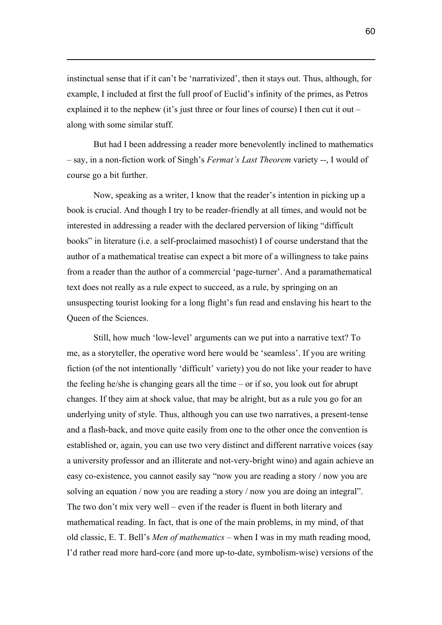instinctual sense that if it can't be 'narrativized', then it stays out. Thus, although, for example, I included at first the full proof of Euclid's infinity of the primes, as Petros explained it to the nephew (it's just three or four lines of course) I then cut it out – along with some similar stuff.

 $\overline{a}$ 

But had I been addressing a reader more benevolently inclined to mathematics – say, in a non-fiction work of Singh's *Fermat's Last Theorem* variety --, I would of course go a bit further.

Now, speaking as a writer, I know that the reader's intention in picking up a book is crucial. And though I try to be reader-friendly at all times, and would not be interested in addressing a reader with the declared perversion of liking "difficult books" in literature (i.e. a self-proclaimed masochist) I of course understand that the author of a mathematical treatise can expect a bit more of a willingness to take pains from a reader than the author of a commercial 'page-turner'. And a paramathematical text does not really as a rule expect to succeed, as a rule, by springing on an unsuspecting tourist looking for a long flight's fun read and enslaving his heart to the Queen of the Sciences.

Still, how much 'low-level' arguments can we put into a narrative text? To me, as a storyteller, the operative word here would be 'seamless'. If you are writing fiction (of the not intentionally 'difficult' variety) you do not like your reader to have the feeling he/she is changing gears all the time – or if so, you look out for abrupt changes. If they aim at shock value, that may be alright, but as a rule you go for an underlying unity of style. Thus, although you can use two narratives, a present-tense and a flash-back, and move quite easily from one to the other once the convention is established or, again, you can use two very distinct and different narrative voices (say a university professor and an illiterate and not-very-bright wino) and again achieve an easy co-existence, you cannot easily say "now you are reading a story / now you are solving an equation / now you are reading a story / now you are doing an integral". The two don't mix very well – even if the reader is fluent in both literary and mathematical reading. In fact, that is one of the main problems, in my mind, of that old classic, E. T. Bell's *Men of mathematics* – when I was in my math reading mood, I'd rather read more hard-core (and more up-to-date, symbolism-wise) versions of the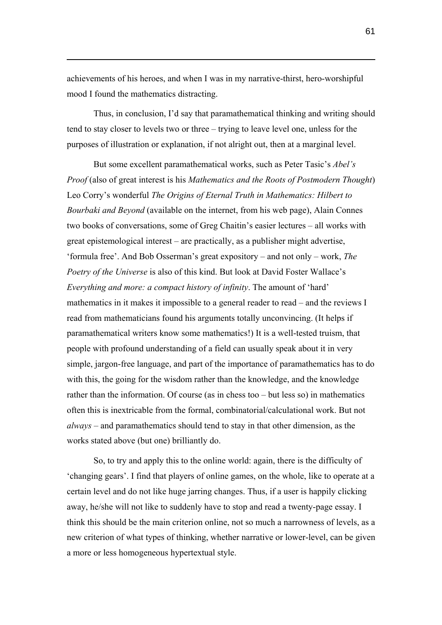achievements of his heroes, and when I was in my narrative-thirst, hero-worshipful mood I found the mathematics distracting.

 $\overline{a}$ 

Thus, in conclusion, I'd say that paramathematical thinking and writing should tend to stay closer to levels two or three – trying to leave level one, unless for the purposes of illustration or explanation, if not alright out, then at a marginal level.

But some excellent paramathematical works, such as Peter Tasic's *Abel's Proof* (also of great interest is his *Mathematics and the Roots of Postmodern Thought*) Leo Corry's wonderful *The Origins of Eternal Truth in Mathematics: Hilbert to Bourbaki and Beyond* (available on the internet, from his web page), Alain Connes two books of conversations, some of Greg Chaitin's easier lectures – all works with great epistemological interest – are practically, as a publisher might advertise, 'formula free'. And Bob Osserman's great expository – and not only – work, *The Poetry of the Universe* is also of this kind. But look at David Foster Wallace's *Everything and more: a compact history of infinity*. The amount of 'hard' mathematics in it makes it impossible to a general reader to read – and the reviews I read from mathematicians found his arguments totally unconvincing. (It helps if paramathematical writers know some mathematics!) It is a well-tested truism, that people with profound understanding of a field can usually speak about it in very simple, jargon-free language, and part of the importance of paramathematics has to do with this, the going for the wisdom rather than the knowledge, and the knowledge rather than the information. Of course (as in chess too – but less so) in mathematics often this is inextricable from the formal, combinatorial/calculational work. But not *always* – and paramathematics should tend to stay in that other dimension, as the works stated above (but one) brilliantly do.

So, to try and apply this to the online world: again, there is the difficulty of 'changing gears'. I find that players of online games, on the whole, like to operate at a certain level and do not like huge jarring changes. Thus, if a user is happily clicking away, he/she will not like to suddenly have to stop and read a twenty-page essay. I think this should be the main criterion online, not so much a narrowness of levels, as a new criterion of what types of thinking, whether narrative or lower-level, can be given a more or less homogeneous hypertextual style.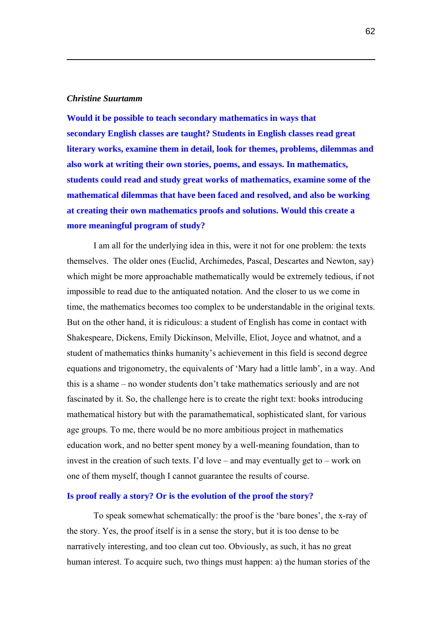#### *Christine Suurtamm*

 $\overline{a}$ 

**Would it be possible to teach secondary mathematics in ways that secondary English classes are taught? Students in English classes read great literary works, examine them in detail, look for themes, problems, dilemmas and also work at writing their own stories, poems, and essays. In mathematics, students could read and study great works of mathematics, examine some of the mathematical dilemmas that have been faced and resolved, and also be working at creating their own mathematics proofs and solutions. Would this create a more meaningful program of study?**

I am all for the underlying idea in this, were it not for one problem: the texts themselves. The older ones (Euclid, Archimedes, Pascal, Descartes and Newton, say) which might be more approachable mathematically would be extremely tedious, if not impossible to read due to the antiquated notation. And the closer to us we come in time, the mathematics becomes too complex to be understandable in the original texts. But on the other hand, it is ridiculous: a student of English has come in contact with Shakespeare, Dickens, Emily Dickinson, Melville, Eliot, Joyce and whatnot, and a student of mathematics thinks humanity's achievement in this field is second degree equations and trigonometry, the equivalents of 'Mary had a little lamb', in a way. And this is a shame – no wonder students don't take mathematics seriously and are not fascinated by it. So, the challenge here is to create the right text: books introducing mathematical history but with the paramathematical, sophisticated slant, for various age groups. To me, there would be no more ambitious project in mathematics education work, and no better spent money by a well-meaning foundation, than to invest in the creation of such texts. I'd love – and may eventually get to – work on one of them myself, though I cannot guarantee the results of course.

#### **Is proof really a story? Or is the evolution of the proof the story?**

To speak somewhat schematically: the proof is the 'bare bones', the x-ray of the story. Yes, the proof itself is in a sense the story, but it is too dense to be narratively interesting, and too clean cut too. Obviously, as such, it has no great human interest. To acquire such, two things must happen: a) the human stories of the